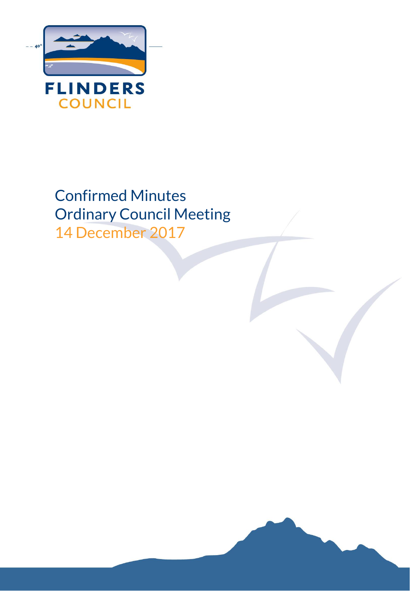

Confirmed Minutes Ordinary Council Meeting 14 December 2017

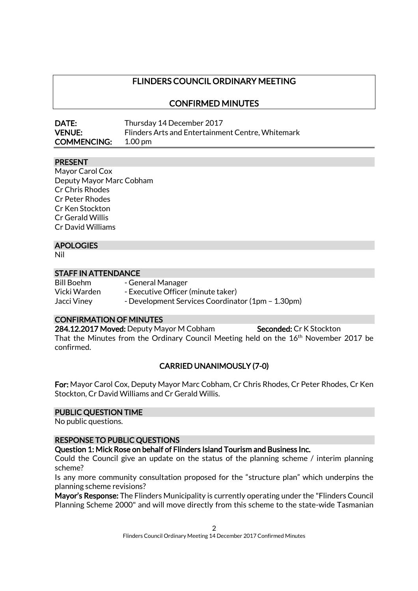# FLINDERS COUNCIL ORDINARY MEETING

### CONFIRMED MINUTES

| <b>DATE:</b>       | Thursday 14 December 2017                         |
|--------------------|---------------------------------------------------|
| <b>VENUE:</b>      | Flinders Arts and Entertainment Centre, Whitemark |
| <b>COMMENCING:</b> | $1.00 \,\mathrm{pm}$                              |

#### PRESENT

Mayor Carol Cox Deputy Mayor Marc Cobham Cr Chris Rhodes Cr Peter Rhodes Cr Ken Stockton Cr Gerald Willis Cr David Williams

#### APOLOGIES

Nil

### STAFF IN ATTENDANCE

Bill Boehm - General Manager Vicki Warden - Executive Officer (minute taker) Jacci Viney - Development Services Coordinator (1pm – 1.30pm)

#### CONFIRMATION OF MINUTES

284.12.2017 Moved: Deputy Mayor M Cobham Seconded: Cr K Stockton That the Minutes from the Ordinary Council Meeting held on the 16<sup>th</sup> November 2017 be confirmed.

### CARRIED UNANIMOUSLY (7-0)

For: Mayor Carol Cox, Deputy Mayor Marc Cobham, Cr Chris Rhodes, Cr Peter Rhodes, Cr Ken Stockton, Cr David Williams and Cr Gerald Willis.

#### PUBLIC QUESTION TIME

No public questions.

#### RESPONSE TO PUBLIC QUESTIONS

Question 1: Mick Rose on behalf of Flinders Island Tourism and Business Inc.

Could the Council give an update on the status of the planning scheme / interim planning scheme?

Is any more community consultation proposed for the "structure plan" which underpins the planning scheme revisions?

Mayor's Response: The Flinders Municipality is currently operating under the "Flinders Council Planning Scheme 2000" and will move directly from this scheme to the state-wide Tasmanian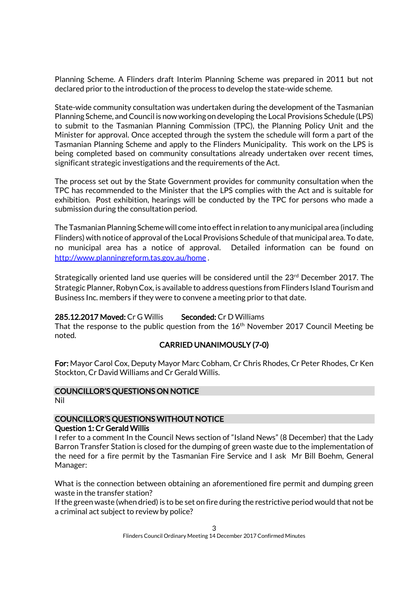Planning Scheme. A Flinders draft Interim Planning Scheme was prepared in 2011 but not declared prior to the introduction of the process to develop the state-wide scheme.

State-wide community consultation was undertaken during the development of the Tasmanian Planning Scheme, and Council is now working on developing the Local Provisions Schedule (LPS) to submit to the Tasmanian Planning Commission (TPC), the Planning Policy Unit and the Minister for approval. Once accepted through the system the schedule will form a part of the Tasmanian Planning Scheme and apply to the Flinders Municipality. This work on the LPS is being completed based on community consultations already undertaken over recent times, significant strategic investigations and the requirements of the Act.

The process set out by the State Government provides for community consultation when the TPC has recommended to the Minister that the LPS complies with the Act and is suitable for exhibition. Post exhibition, hearings will be conducted by the TPC for persons who made a submission during the consultation period.

The Tasmanian Planning Scheme will come into effect in relation to any municipal area (including Flinders) with notice of approval of the Local Provisions Schedule of that municipal area. To date, no municipal area has a notice of approval. Detailed information can be found on <http://www.planningreform.tas.gov.au/home> .

Strategically oriented land use queries will be considered until the 23rd December 2017. The Strategic Planner, Robyn Cox, is available to address questions from Flinders Island Tourism and Business Inc. members if they were to convene a meeting prior to that date.

#### 285.12.2017 Moved: Cr G Willis Seconded: Cr D Williams

That the response to the public question from the 16<sup>th</sup> November 2017 Council Meeting be noted.

### CARRIED UNANIMOUSLY (7-0)

For: Mayor Carol Cox, Deputy Mayor Marc Cobham, Cr Chris Rhodes, Cr Peter Rhodes, Cr Ken Stockton, Cr David Williams and Cr Gerald Willis.

#### COUNCILLOR'S QUESTIONS ON NOTICE

Nil

# COUNCILLOR'S QUESTIONS WITHOUT NOTICE

### Question 1: Cr Gerald Willis

I refer to a comment In the Council News section of "Island News" (8 December) that the Lady Barron Transfer Station is closed for the dumping of green waste due to the implementation of the need for a fire permit by the Tasmanian Fire Service and I ask Mr Bill Boehm, General Manager:

What is the connection between obtaining an aforementioned fire permit and dumping green waste in the transfer station?

If the green waste (when dried) is to be set on fire during the restrictive period would that not be a criminal act subject to review by police?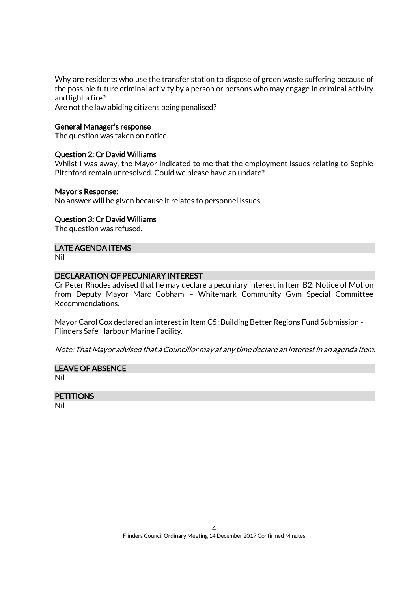Why are residents who use the transfer station to dispose of green waste suffering because of the possible future criminal activity by a person or persons who may engage in criminal activity and light a fire?

Are not the law abiding citizens being penalised?

#### General Manager's response

The question was taken on notice.

#### Question 2: Cr David Williams

Whilst I was away, the Mayor indicated to me that the employment issues relating to Sophie Pitchford remain unresolved. Could we please have an update?

#### Mayor's Response:

No answer will be given because it relates to personnel issues.

#### Question 3: Cr David Williams

The question was refused.

#### LATE AGENDA ITEMS

Nil

#### DECLARATION OF PECUNIARY INTEREST

Cr Peter Rhodes advised that he may declare a pecuniary interest in Item B2: Notice of Motion from Deputy Mayor Marc Cobham – Whitemark Community Gym Special Committee Recommendations.

Mayor Carol Cox declared an interest in Item C5: Building Better Regions Fund Submission - Flinders Safe Harbour Marine Facility.

Note: That Mayor advised that a Councillor may at any time declare an interest in an agenda item.

#### LEAVE OF ABSENCE

Nil

#### **PETITIONS**

Nil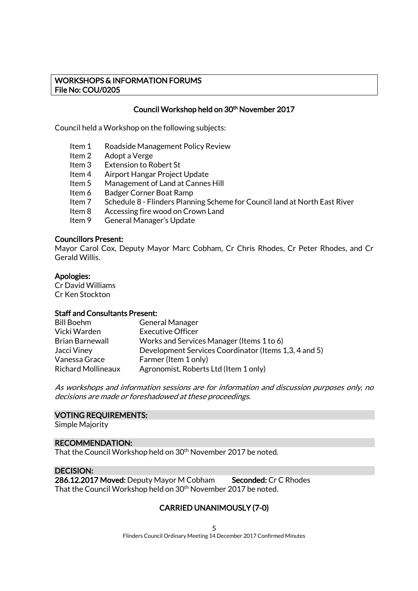#### WORKSHOPS & INFORMATION FORUMS File No: COU/0205

### Council Workshop held on 30<sup>th</sup> November 2017

Council held a Workshop on the following subjects:

- Item 1 Roadside Management Policy Review
- Item 2 Adopt a Verge
- Item 3 Extension to Robert St
- Item 4 Airport Hangar Project Update
- Item 5 Management of Land at Cannes Hill
- Item 6 Badger Corner Boat Ramp
- Item 7 Schedule 8 Flinders Planning Scheme for Council land at North East River
- Item 8 Accessing fire wood on Crown Land
- Item 9 General Manager's Update

#### Councillors Present:

Mayor Carol Cox, Deputy Mayor Marc Cobham, Cr Chris Rhodes, Cr Peter Rhodes, and Cr Gerald Willis.

#### Apologies:

Cr David Williams Cr Ken Stockton

#### Staff and Consultants Present:

| <b>General Manager</b>                                |
|-------------------------------------------------------|
| <b>Executive Officer</b>                              |
| Works and Services Manager (Items 1 to 6)             |
| Development Services Coordinator (Items 1,3, 4 and 5) |
| Farmer (Item 1 only)                                  |
| Agronomist, Roberts Ltd (Item 1 only)                 |
|                                                       |

As workshops and information sessions are for information and discussion purposes only, no decisions are made or foreshadowed at these proceedings.

#### VOTING REQUIREMENTS:

Simple Majority

#### RECOMMENDATION:

That the Council Workshop held on 30<sup>th</sup> November 2017 be noted.

#### DECISION:

286.12.2017 Moved: Deputy Mayor M Cobham Seconded: Cr C Rhodes That the Council Workshop held on 30<sup>th</sup> November 2017 be noted.

### CARRIED UNANIMOUSLY (7-0)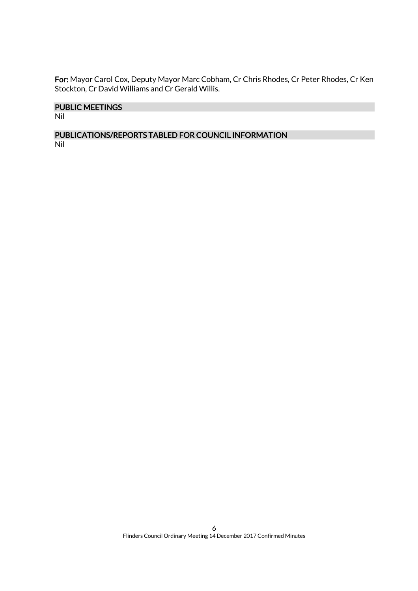For: Mayor Carol Cox, Deputy Mayor Marc Cobham, Cr Chris Rhodes, Cr Peter Rhodes, Cr Ken Stockton, Cr David Williams and Cr Gerald Willis.

### PUBLIC MEETINGS

Nil

#### PUBLICATIONS/REPORTS TABLED FOR COUNCIL INFORMATION Nil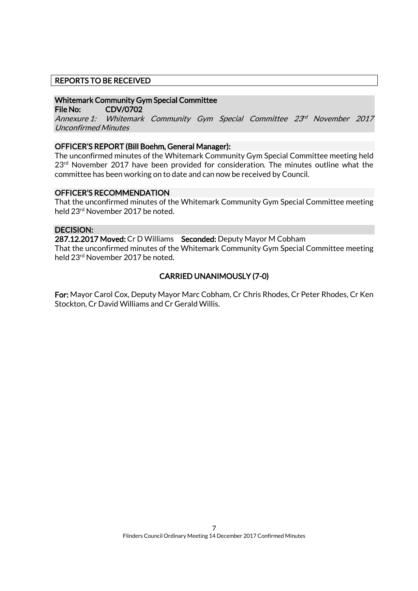### REPORTS TO BE RECEIVED

#### Whitemark Community Gym Special Committee

File No: CDV/0702

Annexure 1: Whitemark Community Gym Special Committee 23<sup>rd</sup> November 2017 Unconfirmed Minutes

#### OFFICER'S REPORT (Bill Boehm, General Manager):

The unconfirmed minutes of the Whitemark Community Gym Special Committee meeting held 23<sup>rd</sup> November 2017 have been provided for consideration. The minutes outline what the committee has been working on to date and can now be received by Council.

#### OFFICER'S RECOMMENDATION

That the unconfirmed minutes of the Whitemark Community Gym Special Committee meeting held 23rd November 2017 be noted.

#### DECISION:

287.12.2017 Moved: Cr D Williams Seconded: Deputy Mayor M Cobham That the unconfirmed minutes of the Whitemark Community Gym Special Committee meeting held 23rd November 2017 be noted.

### CARRIED UNANIMOUSLY (7-0)

For: Mayor Carol Cox, Deputy Mayor Marc Cobham, Cr Chris Rhodes, Cr Peter Rhodes, Cr Ken Stockton, Cr David Williams and Cr Gerald Willis.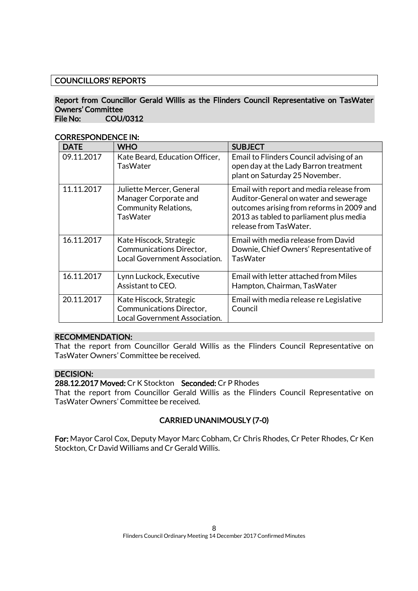### COUNCILLORS' REPORTS

#### Report from Councillor Gerald Willis as the Flinders Council Representative on TasWater Owners' Committee File No: COU/0312

CORRESPONDENCE IN:

| <b>DATE</b> | <b>WHO</b>                                                                                          | <b>SUBJECT</b>                                                                                                                                                                                      |
|-------------|-----------------------------------------------------------------------------------------------------|-----------------------------------------------------------------------------------------------------------------------------------------------------------------------------------------------------|
| 09.11.2017  | Kate Beard, Education Officer,<br>TasWater                                                          | Email to Flinders Council advising of an<br>open day at the Lady Barron treatment<br>plant on Saturday 25 November.                                                                                 |
| 11.11.2017  | Juliette Mercer, General<br>Manager Corporate and<br><b>Community Relations,</b><br><b>TasWater</b> | Email with report and media release from<br>Auditor-General on water and sewerage<br>outcomes arising from reforms in 2009 and<br>2013 as tabled to parliament plus media<br>release from TasWater. |
| 16.11.2017  | Kate Hiscock, Strategic<br>Communications Director,<br>Local Government Association.                | Email with media release from David<br>Downie, Chief Owners' Representative of<br><b>TasWater</b>                                                                                                   |
| 16.11.2017  | Lynn Luckock, Executive<br>Assistant to CEO.                                                        | Email with letter attached from Miles<br>Hampton, Chairman, TasWater                                                                                                                                |
| 20.11.2017  | Kate Hiscock, Strategic<br>Communications Director,<br>Local Government Association.                | Email with media release re Legislative<br>Council                                                                                                                                                  |

### RECOMMENDATION:

That the report from Councillor Gerald Willis as the Flinders Council Representative on TasWater Owners' Committee be received.

### DECISION:

#### 288.12.2017 Moved: Cr K Stockton Seconded: Cr P Rhodes

That the report from Councillor Gerald Willis as the Flinders Council Representative on TasWater Owners' Committee be received.

### CARRIED UNANIMOUSLY (7-0)

For: Mayor Carol Cox, Deputy Mayor Marc Cobham, Cr Chris Rhodes, Cr Peter Rhodes, Cr Ken Stockton, Cr David Williams and Cr Gerald Willis.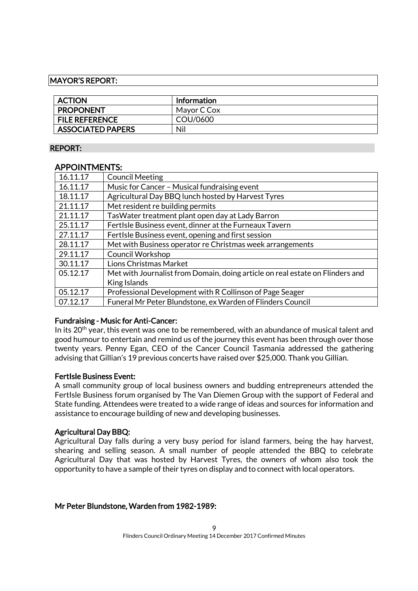#### MAYOR'S REPORT:

| <b>ACTION</b>            | Information |
|--------------------------|-------------|
| <b>PROPONENT</b>         | Mayor C Cox |
| <b>FILE REFERENCE</b>    | COU/0600    |
| <b>ASSOCIATED PAPERS</b> | Nil         |

#### REPORT:

### APPOINTMENTS:

| 16.11.17 | <b>Council Meeting</b>                                                        |
|----------|-------------------------------------------------------------------------------|
| 16.11.17 | Music for Cancer - Musical fundraising event                                  |
| 18.11.17 | Agricultural Day BBQ lunch hosted by Harvest Tyres                            |
| 21.11.17 | Met resident re building permits                                              |
| 21.11.17 | TasWater treatment plant open day at Lady Barron                              |
| 25.11.17 | FertIsle Business event, dinner at the Furneaux Tavern                        |
| 27.11.17 | FertIsle Business event, opening and first session                            |
| 28.11.17 | Met with Business operator re Christmas week arrangements                     |
| 29.11.17 | Council Workshop                                                              |
| 30.11.17 | Lions Christmas Market                                                        |
| 05.12.17 | Met with Journalist from Domain, doing article on real estate on Flinders and |
|          | King Islands                                                                  |
| 05.12.17 | Professional Development with R Collinson of Page Seager                      |
| 07.12.17 | Funeral Mr Peter Blundstone, ex Warden of Flinders Council                    |

#### Fundraising - Music for Anti-Cancer:

In its 20<sup>th</sup> year, this event was one to be remembered, with an abundance of musical talent and good humour to entertain and remind us of the journey this event has been through over those twenty years. Penny Egan, CEO of the Cancer Council Tasmania addressed the gathering advising that Gillian's 19 previous concerts have raised over \$25,000. Thank you Gillian.

#### FertIsle Business Event:

A small community group of local business owners and budding entrepreneurs attended the FertIsle Business forum organised by The Van Diemen Group with the support of Federal and State funding. Attendees were treated to a wide range of ideas and sources for information and assistance to encourage building of new and developing businesses.

#### Agricultural Day BBQ:

Agricultural Day falls during a very busy period for island farmers, being the hay harvest, shearing and selling season. A small number of people attended the BBQ to celebrate Agricultural Day that was hosted by Harvest Tyres, the owners of whom also took the opportunity to have a sample of their tyres on display and to connect with local operators.

#### Mr Peter Blundstone, Warden from 1982-1989: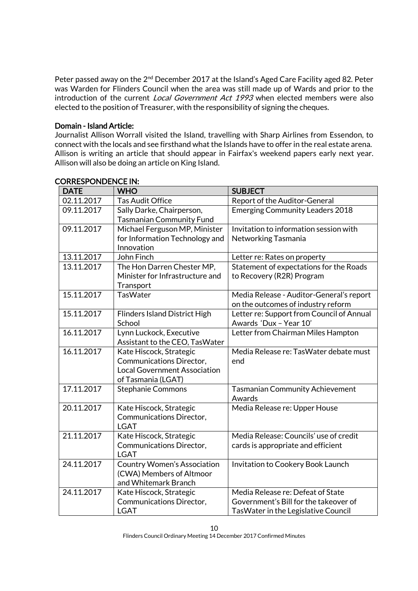Peter passed away on the 2<sup>nd</sup> December 2017 at the Island's Aged Care Facility aged 82. Peter was Warden for Flinders Council when the area was still made up of Wards and prior to the introduction of the current *Local Government Act 1993* when elected members were also elected to the position of Treasurer, with the responsibility of signing the cheques.

#### Domain - Island Article:

Journalist Allison Worrall visited the Island, travelling with Sharp Airlines from Essendon, to connect with the locals and see firsthand what the Islands have to offer in the real estate arena. Allison is writing an article that should appear in Fairfax's weekend papers early next year. Allison will also be doing an article on King Island.

| <b>DATE</b> | <b>WHO</b>                                                 | <b>SUBJECT</b>                                   |
|-------------|------------------------------------------------------------|--------------------------------------------------|
| 02.11.2017  | <b>Tas Audit Office</b>                                    | Report of the Auditor-General                    |
| 09.11.2017  | Sally Darke, Chairperson,                                  | <b>Emerging Community Leaders 2018</b>           |
|             | <b>Tasmanian Community Fund</b>                            |                                                  |
| 09.11.2017  | Michael Ferguson MP, Minister                              | Invitation to information session with           |
|             | for Information Technology and                             | Networking Tasmania                              |
|             | Innovation                                                 |                                                  |
| 13.11.2017  | John Finch                                                 | Letter re: Rates on property                     |
| 13.11.2017  | The Hon Darren Chester MP,                                 | Statement of expectations for the Roads          |
|             | Minister for Infrastructure and                            | to Recovery (R2R) Program                        |
|             | Transport                                                  |                                                  |
| 15.11.2017  | <b>TasWater</b>                                            | Media Release - Auditor-General's report         |
|             |                                                            | on the outcomes of industry reform               |
| 15.11.2017  | <b>Flinders Island District High</b>                       | Letter re: Support from Council of Annual        |
|             | School                                                     | Awards 'Dux - Year 10'                           |
| 16.11.2017  | Lynn Luckock, Executive                                    | Letter from Chairman Miles Hampton               |
|             | Assistant to the CEO, TasWater                             |                                                  |
| 16.11.2017  | Kate Hiscock, Strategic                                    | Media Release re: TasWater debate must           |
|             | Communications Director,                                   | end                                              |
|             | <b>Local Government Association</b>                        |                                                  |
|             | of Tasmania (LGAT)                                         |                                                  |
| 17.11.2017  | <b>Stephanie Commons</b>                                   | <b>Tasmanian Community Achievement</b><br>Awards |
| 20.11.2017  |                                                            |                                                  |
|             | Kate Hiscock, Strategic<br><b>Communications Director,</b> | Media Release re: Upper House                    |
|             | <b>LGAT</b>                                                |                                                  |
| 21.11.2017  | Kate Hiscock, Strategic                                    | Media Release: Councils' use of credit           |
|             | Communications Director,                                   | cards is appropriate and efficient               |
|             | <b>LGAT</b>                                                |                                                  |
| 24.11.2017  | <b>Country Women's Association</b>                         | Invitation to Cookery Book Launch                |
|             | (CWA) Members of Altmoor                                   |                                                  |
|             | and Whitemark Branch                                       |                                                  |
| 24.11.2017  | Kate Hiscock, Strategic                                    | Media Release re: Defeat of State                |
|             | Communications Director,                                   | Government's Bill for the takeover of            |
|             | <b>LGAT</b>                                                | TasWater in the Legislative Council              |

#### CORRESPONDENCE IN: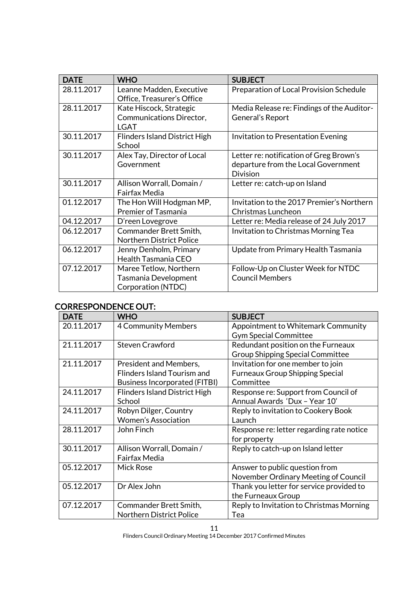| <b>DATE</b> | <b>WHO</b>                                                           | <b>SUBJECT</b>                                                                                    |
|-------------|----------------------------------------------------------------------|---------------------------------------------------------------------------------------------------|
| 28.11.2017  | Leanne Madden, Executive<br>Office, Treasurer's Office               | Preparation of Local Provision Schedule                                                           |
| 28.11.2017  | Kate Hiscock, Strategic<br>Communications Director,<br><b>LGAT</b>   | Media Release re: Findings of the Auditor-<br>General's Report                                    |
| 30.11.2017  | Flinders Island District High<br>School                              | Invitation to Presentation Evening                                                                |
| 30.11.2017  | Alex Tay, Director of Local<br>Government                            | Letter re: notification of Greg Brown's<br>departure from the Local Government<br><b>Division</b> |
| 30.11.2017  | Allison Worrall, Domain /<br><b>Fairfax Media</b>                    | Letter re: catch-up on Island                                                                     |
| 01.12.2017  | The Hon Will Hodgman MP,<br><b>Premier of Tasmania</b>               | Invitation to the 2017 Premier's Northern<br>Christmas Luncheon                                   |
| 04.12.2017  | D'reen Lovegrove                                                     | Letter re: Media release of 24 July 2017                                                          |
| 06.12.2017  | Commander Brett Smith,<br><b>Northern District Police</b>            | Invitation to Christmas Morning Tea                                                               |
| 06.12.2017  | Jenny Denholm, Primary<br>Health Tasmania CEO                        | Update from Primary Health Tasmania                                                               |
| 07.12.2017  | Maree Tetlow, Northern<br>Tasmania Development<br>Corporation (NTDC) | Follow-Up on Cluster Week for NTDC<br><b>Council Members</b>                                      |

# CORRESPONDENCE OUT:

| <b>DATE</b> | <b>WHO</b>                           | <b>SUBJECT</b>                            |
|-------------|--------------------------------------|-------------------------------------------|
| 20.11.2017  | <b>4 Community Members</b>           | Appointment to Whitemark Community        |
|             |                                      | <b>Gym Special Committee</b>              |
| 21.11.2017  | <b>Steven Crawford</b>               | Redundant position on the Furneaux        |
|             |                                      | <b>Group Shipping Special Committee</b>   |
| 21.11.2017  | President and Members,               | Invitation for one member to join         |
|             | Flinders Island Tourism and          | <b>Furneaux Group Shipping Special</b>    |
|             | <b>Business Incorporated (FITBI)</b> | Committee                                 |
| 24.11.2017  | <b>Flinders Island District High</b> | Response re: Support from Council of      |
|             | School                               | Annual Awards 'Dux - Year 10'             |
| 24.11.2017  | Robyn Dilger, Country                | Reply to invitation to Cookery Book       |
|             | <b>Women's Association</b>           | Launch                                    |
| 28.11.2017  | John Finch                           | Response re: letter regarding rate notice |
|             |                                      | for property                              |
| 30.11.2017  | Allison Worrall, Domain /            | Reply to catch-up on Island letter        |
|             | Fairfax Media                        |                                           |
| 05.12.2017  | <b>Mick Rose</b>                     | Answer to public question from            |
|             |                                      | November Ordinary Meeting of Council      |
| 05.12.2017  | Dr Alex John                         | Thank you letter for service provided to  |
|             |                                      | the Furneaux Group                        |
| 07.12.2017  | Commander Brett Smith,               | Reply to Invitation to Christmas Morning  |
|             | <b>Northern District Police</b>      | Tea                                       |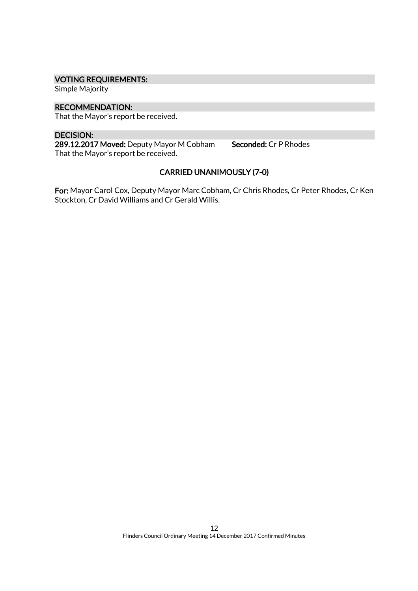#### VOTING REQUIREMENTS:

Simple Majority

#### RECOMMENDATION:

That the Mayor's report be received.

### DECISION:

289.12.2017 Moved: Deputy Mayor M Cobham Seconded: Cr P Rhodes That the Mayor's report be received.

# CARRIED UNANIMOUSLY (7-0)

For: Mayor Carol Cox, Deputy Mayor Marc Cobham, Cr Chris Rhodes, Cr Peter Rhodes, Cr Ken Stockton, Cr David Williams and Cr Gerald Willis.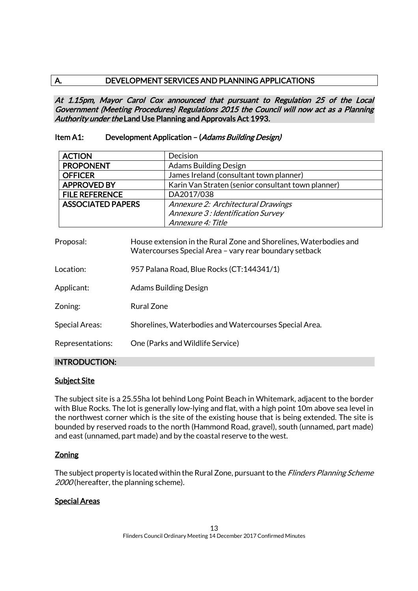### A. DEVELOPMENT SERVICES AND PLANNING APPLICATIONS

At 1.15pm, Mayor Carol Cox announced that pursuant to Regulation 25 of the Local Government (Meeting Procedures) Regulations 2015 the Council will now act as a Planning Authority under the Land Use Planning and Approvals Act 1993.

### Item A1: Development Application - (Adams Building Design)

| <b>ACTION</b>            | Decision                                           |
|--------------------------|----------------------------------------------------|
| <b>PROPONENT</b>         | <b>Adams Building Design</b>                       |
| <b>OFFICER</b>           | James Ireland (consultant town planner)            |
| <b>APPROVED BY</b>       | Karin Van Straten (senior consultant town planner) |
| <b>FILE REFERENCE</b>    | DA2017/038                                         |
| <b>ASSOCIATED PAPERS</b> | Annexure 2: Architectural Drawings                 |
|                          | Annexure 3: Identification Survey                  |
|                          | Annexure 4: Title                                  |

| Proposal:             | House extension in the Rural Zone and Shorelines, Waterbodies and<br>Watercourses Special Area - vary rear boundary setback |
|-----------------------|-----------------------------------------------------------------------------------------------------------------------------|
| Location:             | 957 Palana Road, Blue Rocks (CT:144341/1)                                                                                   |
| Applicant:            | Adams Building Design                                                                                                       |
| Zoning:               | Rural Zone                                                                                                                  |
| <b>Special Areas:</b> | Shorelines, Waterbodies and Watercourses Special Area.                                                                      |
| Representations:      | One (Parks and Wildlife Service)                                                                                            |
|                       |                                                                                                                             |

### INTRODUCTION:

#### Subject Site

The subject site is a 25.55ha lot behind Long Point Beach in Whitemark, adjacent to the border with Blue Rocks. The lot is generally low-lying and flat, with a high point 10m above sea level in the northwest corner which is the site of the existing house that is being extended. The site is bounded by reserved roads to the north (Hammond Road, gravel), south (unnamed, part made) and east (unnamed, part made) and by the coastal reserve to the west.

### **Zoning**

The subject property is located within the Rural Zone, pursuant to the *Flinders Planning Scheme* 2000 (hereafter, the planning scheme).

### Special Areas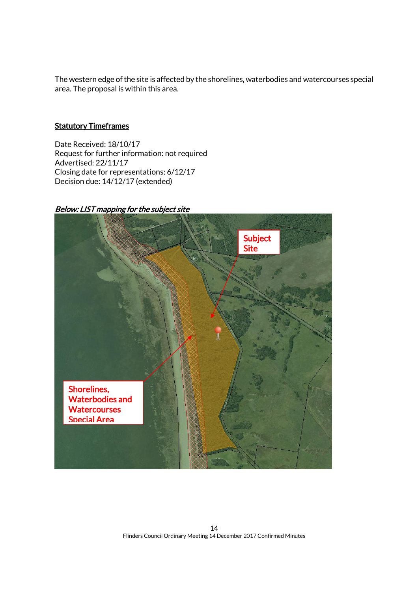The western edge of the site is affected by the shorelines, waterbodies and watercourses special area. The proposal is within this area.

### **Statutory Timeframes**

Date Received: 18/10/17 Request for further information: not required Advertised: 22/11/17 Closing date for representations: 6/12/17 Decision due: 14/12/17 (extended)

### Below: LIST mapping for the subject site

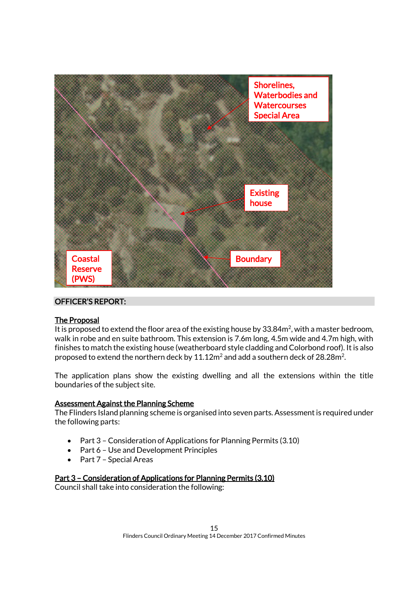

### OFFICER'S REPORT:

#### The Proposal

It is proposed to extend the floor area of the existing house by 33.84 $m^2$ , with a master bedroom, walk in robe and en suite bathroom. This extension is 7.6m long, 4.5m wide and 4.7m high, with finishes to match the existing house (weatherboard style cladding and Colorbond roof). It is also proposed to extend the northern deck by  $11.12\mathsf{m}^2$  and add a southern deck of 28.28 $\mathsf{m}^2$ .

The application plans show the existing dwelling and all the extensions within the title boundaries of the subject site.

#### Assessment Against the Planning Scheme

The Flinders Island planning scheme is organised into seven parts. Assessment is required under the following parts:

- Part 3 Consideration of Applications for Planning Permits (3.10)
- Part 6 Use and Development Principles
- Part 7 Special Areas

#### Part 3 – Consideration of Applications for Planning Permits (3.10)

Council shall take into consideration the following: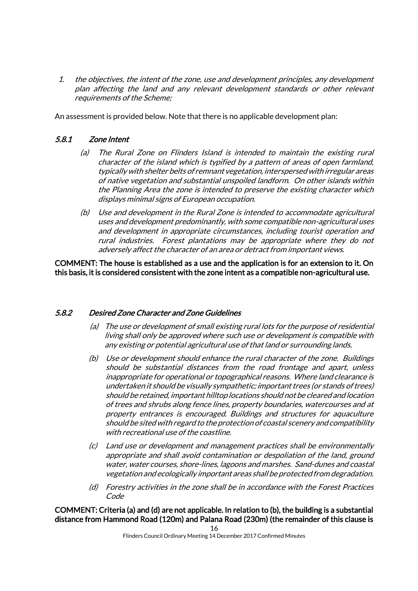1. the objectives, the intent of the zone, use and development principles, any development plan affecting the land and any relevant development standards or other relevant requirements of the Scheme;

An assessment is provided below. Note that there is no applicable development plan:

### 5.8.1 Zone Intent

- (a) The Rural Zone on Flinders Island is intended to maintain the existing rural character of the island which is typified by a pattern of areas of open farmland, typically with shelter belts of remnant vegetation, interspersed with irregular areas of native vegetation and substantial unspoiled landform. On other islands within the Planning Area the zone is intended to preserve the existing character which displays minimal signs of European occupation.
- (b) Use and development in the Rural Zone is intended to accommodate agricultural uses and development predominantly, with some compatible non-agricultural uses and development in appropriate circumstances, including tourist operation and rural industries. Forest plantations may be appropriate where they do not adversely affect the character of an area or detract from important views.

COMMENT: The house is established as a use and the application is for an extension to it. On this basis, it is considered consistent with the zone intent as a compatible non-agricultural use.

### 5.8.2 Desired Zone Character and Zone Guidelines

- (a) The use or development of small existing rural lots for the purpose of residential living shall only be approved where such use or development is compatible with any existing or potential agricultural use of that land or surrounding lands.
- (b) Use or development should enhance the rural character of the zone. Buildings should be substantial distances from the road frontage and apart, unless inappropriate for operational or topographical reasons. Where land clearance is undertaken it should be visually sympathetic; important trees (or stands of trees) should be retained, important hilltop locations should not be cleared and location of trees and shrubs along fence lines, property boundaries, watercourses and at property entrances is encouraged. Buildings and structures for aquaculture should be sited with regard to the protection of coastal scenery and compatibility with recreational use of the coastline.
- (c) Land use or development and management practices shall be environmentally appropriate and shall avoid contamination or despoliation of the land, ground water, water courses, shore-lines, lagoons and marshes. Sand-dunes and coastal vegetation and ecologically important areas shall be protected from degradation.
- (d) Forestry activities in the zone shall be in accordance with the Forest Practices Code

COMMENT: Criteria (a) and (d) are not applicable. In relation to (b), the building is a substantial distance from Hammond Road (120m) and Palana Road (230m) (the remainder of this clause is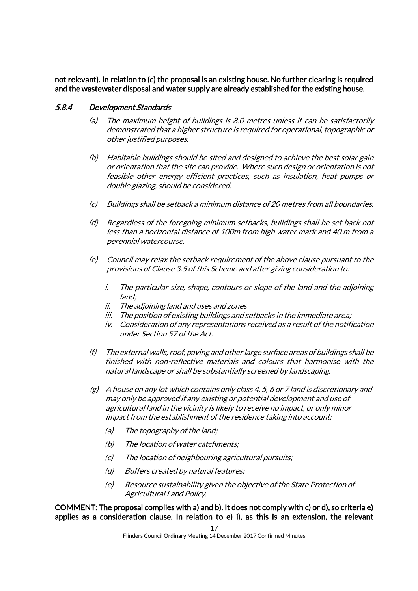not relevant). In relation to (c) the proposal is an existing house. No further clearing is required and the wastewater disposal and water supply are already established for the existing house.

### 5.8.4 Development Standards

- (a) The maximum height of buildings is 8.0 metres unless it can be satisfactorily demonstrated that a higher structure is required for operational, topographic or other justified purposes.
- (b) Habitable buildings should be sited and designed to achieve the best solar gain or orientation that the site can provide. Where such design or orientation is not feasible other energy efficient practices, such as insulation, heat pumps or double glazing, should be considered.
- (c) Buildings shall be setback a minimum distance of 20 metres from all boundaries.
- (d) Regardless of the foregoing minimum setbacks, buildings shall be set back not less than a horizontal distance of 100m from high water mark and 40 m from a perennial watercourse.
- (e) Council may relax the setback requirement of the above clause pursuant to the provisions of Clause 3.5 of this Scheme and after giving consideration to:
	- i. The particular size, shape, contours or slope of the land and the adjoining land;
	- ii. The adjoining land and uses and zones
	- iii. The position of existing buildings and setbacks in the immediate area;
	- iv. Consideration of any representations received as a result of the notification under Section 57 of the Act.
- (f) The external walls, roof, paving and other large surface areas of buildings shall be finished with non-reflective materials and colours that harmonise with the natural landscape or shall be substantially screened by landscaping.
- $(g)$  A house on any lot which contains only class 4, 5, 6 or 7 land is discretionary and may only be approved if any existing or potential development and use of agricultural land in the vicinity is likely to receive no impact, or only minor impact from the establishment of the residence taking into account:
	- (a) The topography of the land;
	- (b) The location of water catchments;
	- (c) The location of neighbouring agricultural pursuits;
	- (d) Buffers created by natural features;
	- (e) Resource sustainability given the objective of the State Protection of Agricultural Land Policy.

COMMENT: The proposal complies with a) and b). It does not comply with c) or d), so criteria e) applies as a consideration clause. In relation to e) i), as this is an extension, the relevant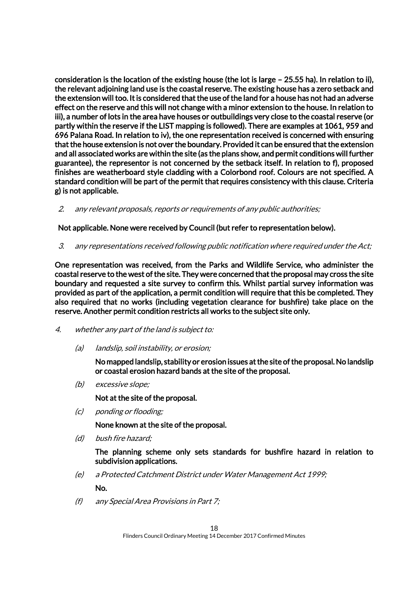consideration is the location of the existing house (the lot is large – 25.55 ha). In relation to ii), the relevant adjoining land use is the coastal reserve. The existing house has a zero setback and the extension will too. It is considered that the use of the land for a house has not had an adverse effect on the reserve and this will not change with a minor extension to the house. In relation to iii), a number of lots in the area have houses or outbuildings very close to the coastal reserve (or partly within the reserve if the LIST mapping is followed). There are examples at 1061, 959 and 696 Palana Road. In relation to iv), the one representation received is concerned with ensuring that the house extension is not over the boundary. Provided it can be ensured that the extension and all associated works are within the site (as the plans show, and permit conditions will further guarantee), the representor is not concerned by the setback itself. In relation to f), proposed finishes are weatherboard style cladding with a Colorbond roof. Colours are not specified. A standard condition will be part of the permit that requires consistency with this clause. Criteria g) is not applicable.

2. any relevant proposals, reports or requirements of any public authorities;

Not applicable. None were received by Council (but refer to representation below).

3. any representations received following public notification where required under the Act;

One representation was received, from the Parks and Wildlife Service, who administer the coastal reserve to the west of the site. They were concerned that the proposal may cross the site boundary and requested a site survey to confirm this. Whilst partial survey information was provided as part of the application, a permit condition will require that this be completed. They also required that no works (including vegetation clearance for bushfire) take place on the reserve. Another permit condition restricts all works to the subject site only.

- 4. whether any part of the land is subject to:
	- (a) landslip, soil instability, or erosion;

No mapped landslip, stability or erosion issues at the site of the proposal. No landslip or coastal erosion hazard bands at the site of the proposal.

(b) excessive slope;

Not at the site of the proposal.

(c) ponding or flooding;

None known at the site of the proposal.

(d) bush fire hazard;

The planning scheme only sets standards for bushfire hazard in relation to subdivision applications.

(e) a Protected Catchment District under Water Management Act 1999;

No.

(f) any Special Area Provisions in Part 7;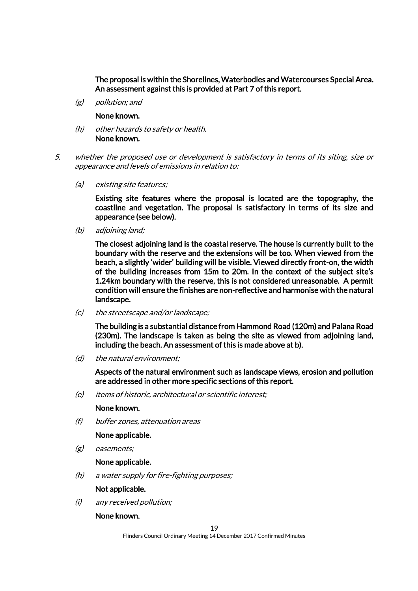The proposal is within the Shorelines, Waterbodies and Watercourses Special Area. An assessment against this is provided at Part 7 of this report.

(g) pollution; and

#### None known.

- (h) other hazards to safety or health. None known.
- 5. whether the proposed use or development is satisfactory in terms of its siting, size or appearance and levels of emissions in relation to:
	- (a) existing site features;

Existing site features where the proposal is located are the topography, the coastline and vegetation. The proposal is satisfactory in terms of its size and appearance (see below).

(b) adjoining land;

The closest adjoining land is the coastal reserve. The house is currently built to the boundary with the reserve and the extensions will be too. When viewed from the beach, a slightly 'wider' building will be visible. Viewed directly front-on, the width of the building increases from 15m to 20m. In the context of the subject site's 1.24km boundary with the reserve, this is not considered unreasonable. A permit condition will ensure the finishes are non-reflective and harmonise with the natural landscape.

(c) the streetscape and/or landscape;

The building is a substantial distance from Hammond Road (120m) and Palana Road (230m). The landscape is taken as being the site as viewed from adjoining land, including the beach. An assessment of this is made above at b).

(d) the natural environment;

Aspects of the natural environment such as landscape views, erosion and pollution are addressed in other more specific sections of this report.

(e) items of historic, architectural or scientific interest;

#### None known.

(f) buffer zones, attenuation areas

None applicable.

(g) easements;

#### None applicable.

(h) a water supply for fire-fighting purposes;

#### Not applicable.

(i) any received pollution;

#### None known.

Flinders Council Ordinary Meeting 14 December 2017 Confirmed Minutes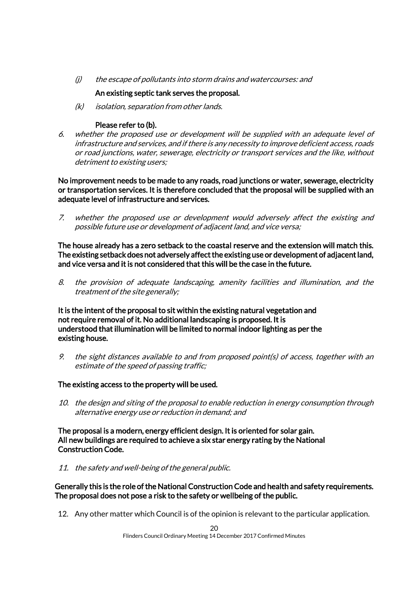(j) the escape of pollutants into storm drains and watercourses: and

### An existing septic tank serves the proposal.

(k) isolation, separation from other lands.

### Please refer to (b).

6. whether the proposed use or development will be supplied with an adequate level of infrastructure and services, and if there is any necessity to improve deficient access, roads or road junctions, water, sewerage, electricity or transport services and the like, without detriment to existing users;

No improvement needs to be made to any roads, road junctions or water, sewerage, electricity or transportation services. It is therefore concluded that the proposal will be supplied with an adequate level of infrastructure and services.

7. whether the proposed use or development would adversely affect the existing and possible future use or development of adjacent land, and vice versa;

The house already has a zero setback to the coastal reserve and the extension will match this. The existing setback does not adversely affect the existing use or development of adjacent land, and vice versa and it is not considered that this will be the case in the future.

8. the provision of adequate landscaping, amenity facilities and illumination, and the treatment of the site generally;

It is the intent of the proposal to sit within the existing natural vegetation and not require removal of it. No additional landscaping is proposed. It is understood that illumination will be limited to normal indoor lighting as per the existing house.

9. the sight distances available to and from proposed point(s) of access, together with an estimate of the speed of passing traffic;

### The existing access to the property will be used.

10. the design and siting of the proposal to enable reduction in energy consumption through alternative energy use or reduction in demand; and

The proposal is a modern, energy efficient design. It is oriented for solar gain. All new buildings are required to achieve a six star energy rating by the National Construction Code.

11. the safety and well-being of the general public.

Generally this is the role of the National Construction Code and health and safety requirements. The proposal does not pose a risk to the safety or wellbeing of the public.

12. Any other matter which Council is of the opinion is relevant to the particular application.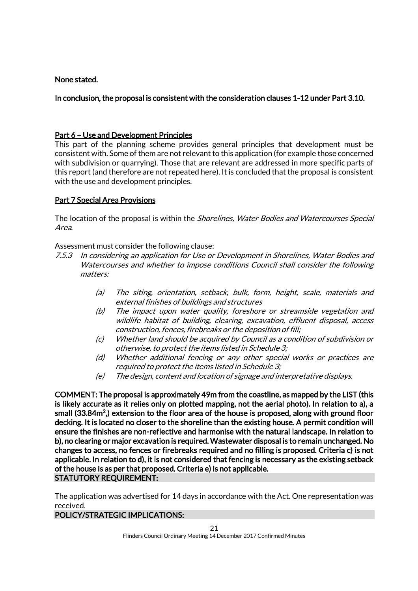### None stated.

### In conclusion, the proposal is consistent with the consideration clauses 1-12 under Part 3.10.

### Part 6 – Use and Development Principles

This part of the planning scheme provides general principles that development must be consistent with. Some of them are not relevant to this application (for example those concerned with subdivision or quarrying). Those that are relevant are addressed in more specific parts of this report (and therefore are not repeated here). It is concluded that the proposal is consistent with the use and development principles.

### Part 7 Special Area Provisions

The location of the proposal is within the *Shorelines, Water Bodies and Watercourses Special* Area.

Assessment must consider the following clause:

- 7.5.3 In considering an application for Use or Development in Shorelines, Water Bodies and Watercourses and whether to impose conditions Council shall consider the following matters:
	- (a) The siting, orientation, setback, bulk, form, height, scale, materials and external finishes of buildings and structures
	- (b) The impact upon water quality, foreshore or streamside vegetation and wildlife habitat of building, clearing, excavation, effluent disposal, access construction, fences, firebreaks or the deposition of fill;
	- (c) Whether land should be acquired by Council as a condition of subdivision or otherwise, to protect the items listed in Schedule 3;
	- (d) Whether additional fencing or any other special works or practices are required to protect the items listed in Schedule 3;
	- (e) The design, content and location of signage and interpretative displays.

COMMENT: The proposal is approximately 49m from the coastline, as mapped by the LIST (this is likely accurate as it relies only on plotted mapping, not the aerial photo). In relation to a), a small (33.84m<sup>2</sup>,) extension to the floor area of the house is proposed, along with ground floor decking. It is located no closer to the shoreline than the existing house. A permit condition will ensure the finishes are non-reflective and harmonise with the natural landscape. In relation to b), no clearing or major excavation is required. Wastewater disposal is to remain unchanged. No changes to access, no fences or firebreaks required and no filling is proposed. Criteria c) is not applicable. In relation to d), it is not considered that fencing is necessary as the existing setback of the house is as per that proposed. Criteria e) is not applicable. STATUTORY REQUIREMENT:

The application was advertised for 14 days in accordance with the Act. One representation was received.

#### POLICY/STRATEGIC IMPLICATIONS: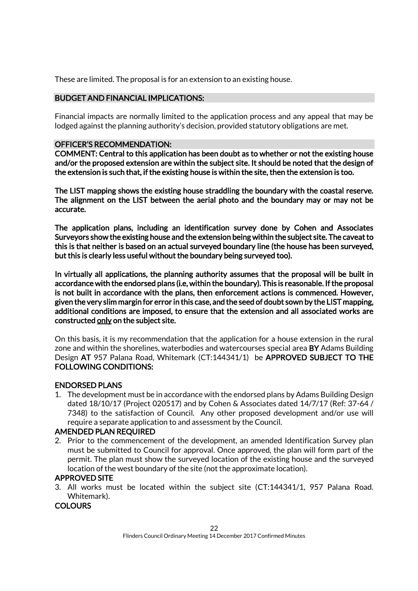These are limited. The proposal is for an extension to an existing house.

### BUDGET AND FINANCIAL IMPLICATIONS:

Financial impacts are normally limited to the application process and any appeal that may be lodged against the planning authority's decision, provided statutory obligations are met.

### OFFICER'S RECOMMENDATION:

COMMENT: Central to this application has been doubt as to whether or not the existing house and/or the proposed extension are within the subject site. It should be noted that the design of the extension is such that, if the existing house is within the site, then the extension is too.

The LIST mapping shows the existing house straddling the boundary with the coastal reserve. The alignment on the LIST between the aerial photo and the boundary may or may not be accurate.

The application plans, including an identification survey done by Cohen and Associates Surveyors show the existing house and the extension being within the subject site. The caveat to this is that neither is based on an actual surveyed boundary line (the house has been surveyed, but this is clearly less useful without the boundary being surveyed too).

In virtually all applications, the planning authority assumes that the proposal will be built in accordance with the endorsed plans (i.e, within the boundary). This is reasonable. If the proposal is not built in accordance with the plans, then enforcement actions is commenced. However, given the very slim margin for error in this case, and the seed of doubt sown by the LIST mapping, additional conditions are imposed, to ensure that the extension and all associated works are constructed only on the subject site.

On this basis, it is my recommendation that the application for a house extension in the rural zone and within the shorelines, waterbodies and watercourses special area BY Adams Building Design AT 957 Palana Road, Whitemark (CT:144341/1) be APPROVED SUBJECT TO THE FOLLOWING CONDITIONS:

### ENDORSED PLANS

1. The development must be in accordance with the endorsed plans by Adams Building Design dated 18/10/17 (Project 020517) and by Cohen & Associates dated 14/7/17 (Ref: 37-64 / 7348) to the satisfaction of Council. Any other proposed development and/or use will require a separate application to and assessment by the Council.

### AMENDED PLAN REQUIRED

2. Prior to the commencement of the development, an amended Identification Survey plan must be submitted to Council for approval. Once approved, the plan will form part of the permit. The plan must show the surveyed location of the existing house and the surveyed location of the west boundary of the site (not the approximate location).

### APPROVED SITE

3. All works must be located within the subject site (CT:144341/1, 957 Palana Road. Whitemark).

### **COLOURS**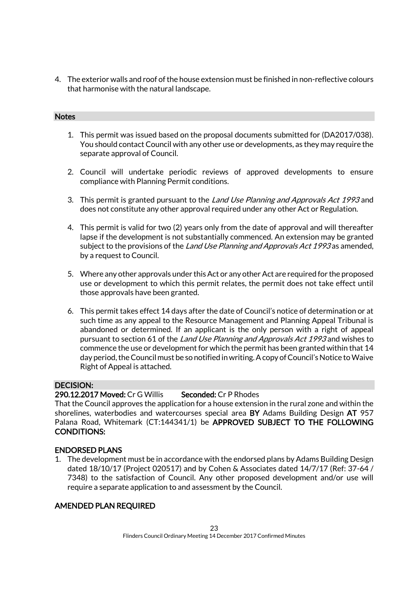4. The exterior walls and roof of the house extension must be finished in non-reflective colours that harmonise with the natural landscape.

#### **Notes**

- 1. This permit was issued based on the proposal documents submitted for (DA2017/038). You should contact Council with any other use or developments, as they may require the separate approval of Council.
- 2. Council will undertake periodic reviews of approved developments to ensure compliance with Planning Permit conditions.
- 3. This permit is granted pursuant to the Land Use Planning and Approvals Act 1993 and does not constitute any other approval required under any other Act or Regulation.
- 4. This permit is valid for two (2) years only from the date of approval and will thereafter lapse if the development is not substantially commenced. An extension may be granted subject to the provisions of the Land Use Planning and Approvals Act 1993 as amended, by a request to Council.
- 5. Where any other approvals under this Act or any other Act are required for the proposed use or development to which this permit relates, the permit does not take effect until those approvals have been granted.
- 6. This permit takes effect 14 days after the date of Council's notice of determination or at such time as any appeal to the Resource Management and Planning Appeal Tribunal is abandoned or determined. If an applicant is the only person with a right of appeal pursuant to section 61 of the Land Use Planning and Approvals Act 1993 and wishes to commence the use or development for which the permit has been granted within that 14 day period, the Council must be so notified in writing. A copy of Council's Notice to Waive Right of Appeal is attached.

#### DECISION:

#### 290.12.2017 Moved: Cr G Willis Seconded: Cr P Rhodes

That the Council approves the application for a house extension in the rural zone and within the shorelines, waterbodies and watercourses special area BY Adams Building Design AT 957 Palana Road, Whitemark (CT:144341/1) be APPROVED SUBJECT TO THE FOLLOWING CONDITIONS:

#### ENDORSED PLANS

1. The development must be in accordance with the endorsed plans by Adams Building Design dated 18/10/17 (Project 020517) and by Cohen & Associates dated 14/7/17 (Ref: 37-64 / 7348) to the satisfaction of Council. Any other proposed development and/or use will require a separate application to and assessment by the Council.

#### AMENDED PLAN REQUIRED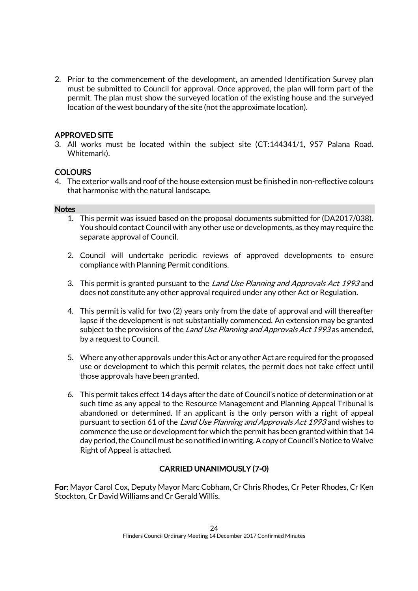2. Prior to the commencement of the development, an amended Identification Survey plan must be submitted to Council for approval. Once approved, the plan will form part of the permit. The plan must show the surveyed location of the existing house and the surveyed location of the west boundary of the site (not the approximate location).

### APPROVED SITE

3. All works must be located within the subject site (CT:144341/1, 957 Palana Road. Whitemark).

### **COLOURS**

4. The exterior walls and roof of the house extension must be finished in non-reflective colours that harmonise with the natural landscape.

#### **Notes**

- 1. This permit was issued based on the proposal documents submitted for (DA2017/038). You should contact Council with any other use or developments, as they may require the separate approval of Council.
- 2. Council will undertake periodic reviews of approved developments to ensure compliance with Planning Permit conditions.
- 3. This permit is granted pursuant to the *Land Use Planning and Approvals Act 1993* and does not constitute any other approval required under any other Act or Regulation.
- 4. This permit is valid for two (2) years only from the date of approval and will thereafter lapse if the development is not substantially commenced. An extension may be granted subject to the provisions of the Land Use Planning and Approvals Act 1993 as amended, by a request to Council.
- 5. Where any other approvals under this Act or any other Act are required for the proposed use or development to which this permit relates, the permit does not take effect until those approvals have been granted.
- 6. This permit takes effect 14 days after the date of Council's notice of determination or at such time as any appeal to the Resource Management and Planning Appeal Tribunal is abandoned or determined. If an applicant is the only person with a right of appeal pursuant to section 61 of the Land Use Planning and Approvals Act 1993 and wishes to commence the use or development for which the permit has been granted within that 14 day period, the Council must be so notified in writing. A copy of Council's Notice to Waive Right of Appeal is attached.

### CARRIED UNANIMOUSLY (7-0)

For: Mayor Carol Cox, Deputy Mayor Marc Cobham, Cr Chris Rhodes, Cr Peter Rhodes, Cr Ken Stockton, Cr David Williams and Cr Gerald Willis.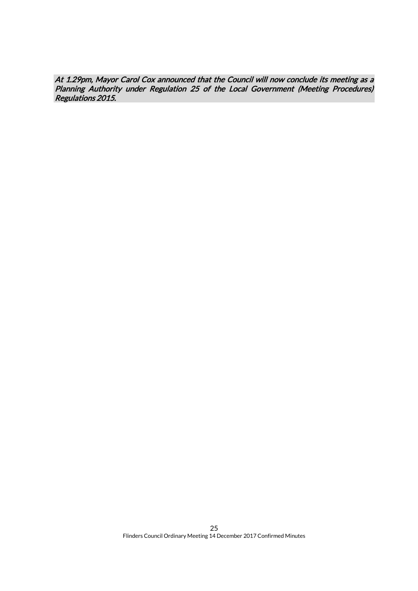At 1.29pm, Mayor Carol Cox announced that the Council will now conclude its meeting as a Planning Authority under Regulation 25 of the Local Government (Meeting Procedures) Regulations 2015.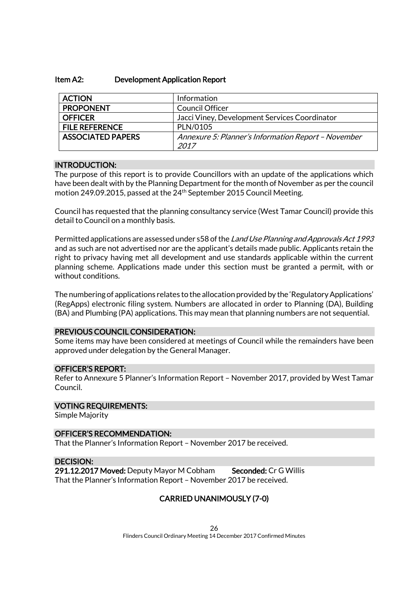#### Item A2: Development Application Report

| <b>ACTION</b>            | Information                                         |
|--------------------------|-----------------------------------------------------|
| <b>PROPONENT</b>         | <b>Council Officer</b>                              |
| <b>OFFICER</b>           | Jacci Viney, Development Services Coordinator       |
| <b>FILE REFERENCE</b>    | PLN/0105                                            |
| <b>ASSOCIATED PAPERS</b> | Annexure 5: Planner's Information Report - November |
|                          | 2017                                                |

#### INTRODUCTION:

The purpose of this report is to provide Councillors with an update of the applications which have been dealt with by the Planning Department for the month of November as per the council motion 249.09.2015, passed at the 24<sup>th</sup> September 2015 Council Meeting.

Council has requested that the planning consultancy service (West Tamar Council) provide this detail to Council on a monthly basis.

Permitted applications are assessed under s58 of the Land Use Planning and Approvals Act 1993 and as such are not advertised nor are the applicant's details made public. Applicants retain the right to privacy having met all development and use standards applicable within the current planning scheme. Applications made under this section must be granted a permit, with or without conditions.

The numbering of applications relates to the allocation provided by the 'Regulatory Applications' (RegApps) electronic filing system. Numbers are allocated in order to Planning (DA), Building (BA) and Plumbing (PA) applications. This may mean that planning numbers are not sequential.

#### PREVIOUS COUNCIL CONSIDERATION:

Some items may have been considered at meetings of Council while the remainders have been approved under delegation by the General Manager.

#### OFFICER'S REPORT:

Refer to Annexure 5 Planner's Information Report – November 2017, provided by West Tamar Council.

#### VOTING REQUIREMENTS:

Simple Majority

#### OFFICER'S RECOMMENDATION:

That the Planner's Information Report – November 2017 be received.

#### DECISION:

291.12.2017 Moved: Deputy Mayor M Cobham Seconded: Cr G Willis That the Planner's Information Report – November 2017 be received.

### CARRIED UNANIMOUSLY (7-0)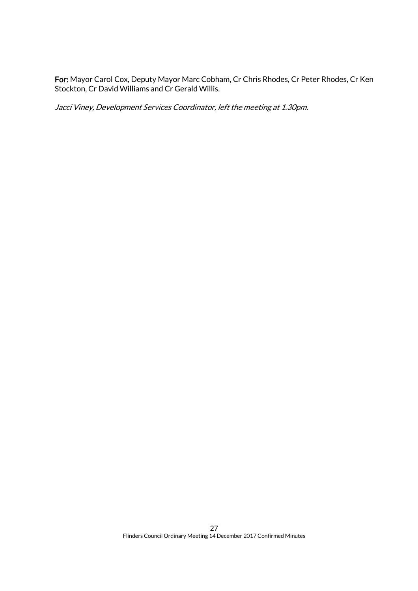For: Mayor Carol Cox, Deputy Mayor Marc Cobham, Cr Chris Rhodes, Cr Peter Rhodes, Cr Ken Stockton, Cr David Williams and Cr Gerald Willis.

Jacci Viney, Development Services Coordinator, left the meeting at 1.30pm.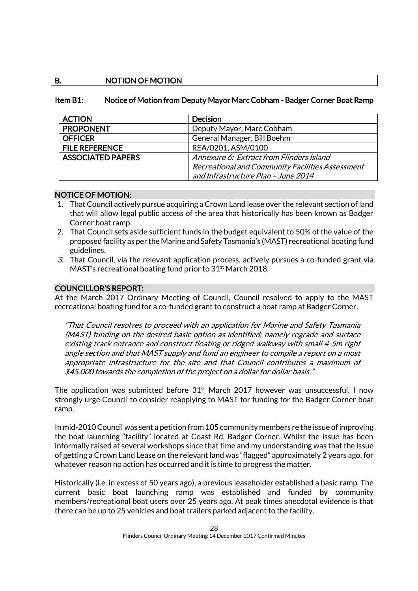### B. NOTION OF MOTION

#### Item B1: Notice of Motion from Deputy Mayor Marc Cobham - Badger Corner Boat Ramp

| <b>ACTION</b>            | <b>Decision</b>                                  |
|--------------------------|--------------------------------------------------|
| <b>PROPONENT</b>         | Deputy Mayor, Marc Cobham                        |
| <b>OFFICER</b>           | General Manager, Bill Boehm                      |
| <b>FILE REFERENCE</b>    | REA/0201, ASM/0100                               |
| <b>ASSOCIATED PAPERS</b> | Annexure 6: Extract from Flinders Island         |
|                          | Recreational and Community Facilities Assessment |
|                          | and Infrastructure Plan - June 2014              |

#### NOTICE OF MOTION:

- 1. That Council actively pursue acquiring a Crown Land lease over the relevant section of land that will allow legal public access of the area that historically has been known as Badger Corner boat ramp.
- 2. That Council sets aside sufficient funds in the budget equivalent to 50% of the value of the proposed facility as per the Marine and Safety Tasmania's (MAST) recreational boating fund guidelines.
- 3. That Council, via the relevant application process, actively pursues a co-funded grant via MAST's recreational boating fund prior to 31<sup>st</sup> March 2018.

#### COUNCILLOR'S REPORT:

At the March 2017 Ordinary Meeting of Council, Council resolved to apply to the MAST recreational boating fund for a co-funded grant to construct a boat ramp at Badger Corner.

"That Council resolves to proceed with an application for Marine and Safety Tasmania (MAST) funding on the desired basic option as identified; namely regrade and surface existing track entrance and construct floating or ridged walkway with small 4-5m right angle section and that MAST supply and fund an engineer to compile a report on a most appropriate infrastructure for the site and that Council contributes a maximum of \$45,000 towards the completion of the project on a dollar for dollar basis."

The application was submitted before  $31<sup>st</sup>$  March 2017 however was unsuccessful. I now strongly urge Council to consider reapplying to MAST for funding for the Badger Corner boat ramp.

In mid-2010 Council was sent a petition from 105 community members re the issue of improving the boat launching "facility" located at Coast Rd, Badger Corner. Whilst the issue has been informally raised at several workshops since that time and my understanding was that the issue of getting a Crown Land Lease on the relevant land was "flagged" approximately 2 years ago, for whatever reason no action has occurred and it is time to progress the matter.

Historically (i.e. in excess of 50 years ago), a previous leaseholder established a basic ramp. The current basic boat launching ramp was established and funded by community members/recreational boat users over 25 years ago. At peak times anecdotal evidence is that there can be up to 25 vehicles and boat trailers parked adjacent to the facility.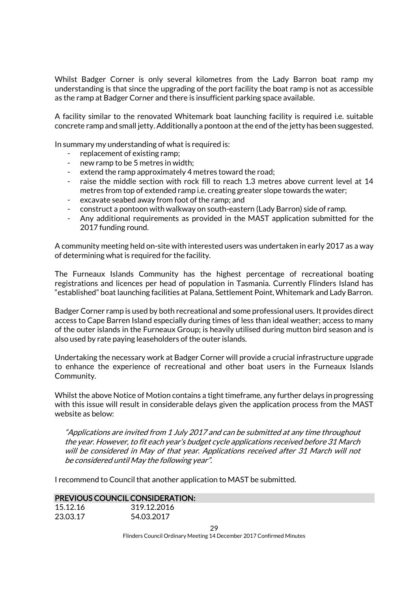Whilst Badger Corner is only several kilometres from the Lady Barron boat ramp my understanding is that since the upgrading of the port facility the boat ramp is not as accessible as the ramp at Badger Corner and there is insufficient parking space available.

A facility similar to the renovated Whitemark boat launching facility is required i.e. suitable concrete ramp and small jetty. Additionally a pontoon at the end of the jetty has been suggested.

In summary my understanding of what is required is:

- replacement of existing ramp;
- new ramp to be 5 metres in width;
- extend the ramp approximately 4 metres toward the road;
- raise the middle section with rock fill to reach 1.3 metres above current level at 14 metres from top of extended ramp i.e. creating greater slope towards the water;
- excavate seabed away from foot of the ramp; and
- construct a pontoon with walkway on south-eastern (Lady Barron) side of ramp.
- Any additional requirements as provided in the MAST application submitted for the 2017 funding round.

A community meeting held on-site with interested users was undertaken in early 2017 as a way of determining what is required for the facility.

The Furneaux Islands Community has the highest percentage of recreational boating registrations and licences per head of population in Tasmania. Currently Flinders Island has "established" boat launching facilities at Palana, Settlement Point, Whitemark and Lady Barron.

Badger Corner ramp is used by both recreational and some professional users. It provides direct access to Cape Barren Island especially during times of less than ideal weather; access to many of the outer islands in the Furneaux Group; is heavily utilised during mutton bird season and is also used by rate paying leaseholders of the outer islands.

Undertaking the necessary work at Badger Corner will provide a crucial infrastructure upgrade to enhance the experience of recreational and other boat users in the Furneaux Islands Community.

Whilst the above Notice of Motion contains a tight timeframe, any further delays in progressing with this issue will result in considerable delays given the application process from the MAST website as below:

"Applications are invited from 1 July 2017 and can be submitted at any time throughout the year. However, to fit each year's budget cycle applications received before 31 March will be considered in May of that year. Applications received after 31 March will not be considered until May the following year".

I recommend to Council that another application to MAST be submitted.

|  |  |  | <b>PREVIOUS COUNCIL CONSIDERATION:</b> |
|--|--|--|----------------------------------------|
|--|--|--|----------------------------------------|

| 15.12.16 | 319.12.2016 |
|----------|-------------|
| 23.03.17 | 54.03.2017  |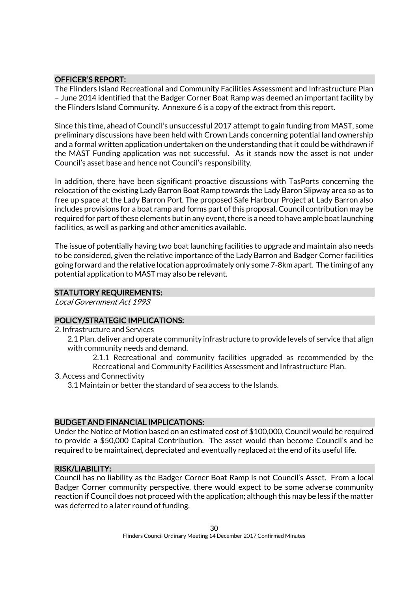### OFFICER'S REPORT:

The Flinders Island Recreational and Community Facilities Assessment and Infrastructure Plan – June 2014 identified that the Badger Corner Boat Ramp was deemed an important facility by the Flinders Island Community. Annexure 6 is a copy of the extract from this report.

Since this time, ahead of Council's unsuccessful 2017 attempt to gain funding from MAST, some preliminary discussions have been held with Crown Lands concerning potential land ownership and a formal written application undertaken on the understanding that it could be withdrawn if the MAST Funding application was not successful. As it stands now the asset is not under Council's asset base and hence not Council's responsibility.

In addition, there have been significant proactive discussions with TasPorts concerning the relocation of the existing Lady Barron Boat Ramp towards the Lady Baron Slipway area so as to free up space at the Lady Barron Port. The proposed Safe Harbour Project at Lady Barron also includes provisions for a boat ramp and forms part of this proposal. Council contribution may be required for part of these elements but in any event, there is a need to have ample boat launching facilities, as well as parking and other amenities available.

The issue of potentially having two boat launching facilities to upgrade and maintain also needs to be considered, given the relative importance of the Lady Barron and Badger Corner facilities going forward and the relative location approximately only some 7-8km apart. The timing of any potential application to MAST may also be relevant.

### STATUTORY REQUIREMENTS:

Local Government Act 1993

### POLICY/STRATEGIC IMPLICATIONS:

- 2. Infrastructure and Services
	- 2.1 Plan, deliver and operate community infrastructure to provide levels of service that align with community needs and demand.

2.1.1 Recreational and community facilities upgraded as recommended by the Recreational and Community Facilities Assessment and Infrastructure Plan.

3. Access and Connectivity

3.1 Maintain or better the standard of sea access to the Islands.

#### BUDGET AND FINANCIAL IMPLICATIONS:

Under the Notice of Motion based on an estimated cost of \$100,000, Council would be required to provide a \$50,000 Capital Contribution. The asset would than become Council's and be required to be maintained, depreciated and eventually replaced at the end of its useful life.

#### RISK/LIABILITY:

Council has no liability as the Badger Corner Boat Ramp is not Council's Asset. From a local Badger Corner community perspective, there would expect to be some adverse community reaction if Council does not proceed with the application; although this may be less if the matter was deferred to a later round of funding.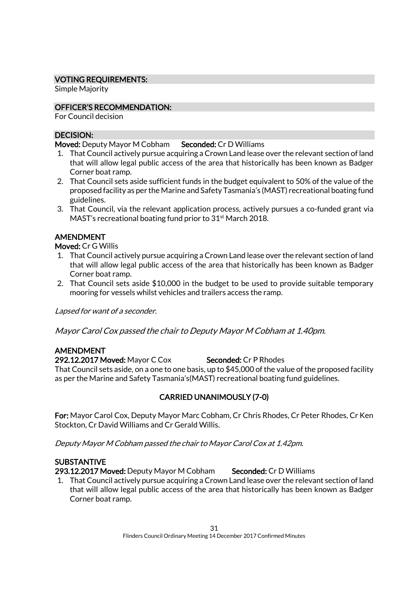### VOTING REQUIREMENTS:

Simple Majority

### OFFICER'S RECOMMENDATION:

For Council decision

### DECISION:

Moved: Deputy Mayor M Cobham Seconded: Cr D Williams

- 1. That Council actively pursue acquiring a Crown Land lease over the relevant section of land that will allow legal public access of the area that historically has been known as Badger Corner boat ramp.
- 2. That Council sets aside sufficient funds in the budget equivalent to 50% of the value of the proposed facility as per the Marine and Safety Tasmania's (MAST) recreational boating fund guidelines.
- 3. That Council, via the relevant application process, actively pursues a co-funded grant via MAST's recreational boating fund prior to 31<sup>st</sup> March 2018.

### AMENDMENT

Moved: Cr G Willis

- 1. That Council actively pursue acquiring a Crown Land lease over the relevant section of land that will allow legal public access of the area that historically has been known as Badger Corner boat ramp.
- 2. That Council sets aside \$10,000 in the budget to be used to provide suitable temporary mooring for vessels whilst vehicles and trailers access the ramp.

Lapsed for want of a seconder.

Mayor Carol Cox passed the chair to Deputy Mayor M Cobham at 1.40pm.

#### AMENDMENT

292.12.2017 Moved: Mayor C Cox Seconded: Cr P Rhodes

That Council sets aside, on a one to one basis, up to \$45,000 of the value of the proposed facility as per the Marine and Safety Tasmania's(MAST) recreational boating fund guidelines.

# CARRIED UNANIMOUSLY (7-0)

For: Mayor Carol Cox, Deputy Mayor Marc Cobham, Cr Chris Rhodes, Cr Peter Rhodes, Cr Ken Stockton, Cr David Williams and Cr Gerald Willis.

Deputy Mayor M Cobham passed the chair to Mayor Carol Cox at 1.42pm.

### **SUBSTANTIVE**

293.12.2017 Moved: Deputy Mayor M Cobham Seconded: Cr D Williams

1. That Council actively pursue acquiring a Crown Land lease over the relevant section of land that will allow legal public access of the area that historically has been known as Badger Corner boat ramp.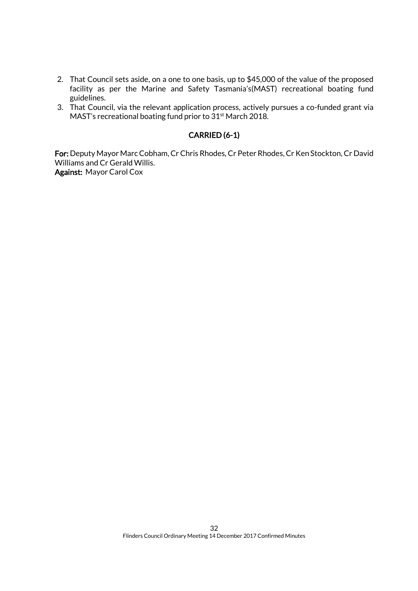- 2. That Council sets aside, on a one to one basis, up to \$45,000 of the value of the proposed facility as per the Marine and Safety Tasmania's(MAST) recreational boating fund guidelines.
- 3. That Council, via the relevant application process, actively pursues a co-funded grant via MAST's recreational boating fund prior to 31st March 2018.

### CARRIED (6-1)

For: Deputy Mayor Marc Cobham, Cr Chris Rhodes, Cr Peter Rhodes, Cr Ken Stockton, Cr David Williams and Cr Gerald Willis. Against: Mayor Carol Cox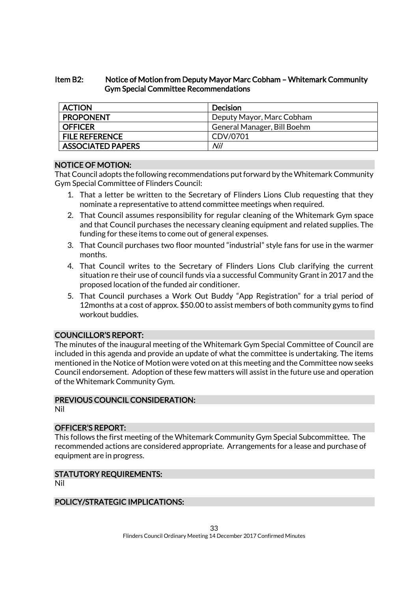### Item B2: Notice of Motion from Deputy Mayor Marc Cobham – Whitemark Community Gym Special Committee Recommendations

| <b>ACTION</b>            | Decision                    |
|--------------------------|-----------------------------|
| <b>PROPONENT</b>         | Deputy Mayor, Marc Cobham   |
| <b>OFFICER</b>           | General Manager, Bill Boehm |
| <b>FILE REFERENCE</b>    | CDV/0701                    |
| <b>ASSOCIATED PAPERS</b> | Nil                         |

#### NOTICE OF MOTION:

That Council adopts the following recommendations put forward by the Whitemark Community Gym Special Committee of Flinders Council:

- 1. That a letter be written to the Secretary of Flinders Lions Club requesting that they nominate a representative to attend committee meetings when required.
- 2. That Council assumes responsibility for regular cleaning of the Whitemark Gym space and that Council purchases the necessary cleaning equipment and related supplies. The funding for these items to come out of general expenses.
- 3. That Council purchases two floor mounted "industrial" style fans for use in the warmer months.
- 4. That Council writes to the Secretary of Flinders Lions Club clarifying the current situation re their use of council funds via a successful Community Grant in 2017 and the proposed location of the funded air conditioner.
- 5. That Council purchases a Work Out Buddy "App Registration" for a trial period of 12months at a cost of approx. \$50.00 to assist members of both community gyms to find workout buddies.

#### COUNCILLOR'S REPORT:

The minutes of the inaugural meeting of the Whitemark Gym Special Committee of Council are included in this agenda and provide an update of what the committee is undertaking. The items mentioned in the Notice of Motion were voted on at this meeting and the Committee now seeks Council endorsement. Adoption of these few matters will assist in the future use and operation of the Whitemark Community Gym.

### PREVIOUS COUNCIL CONSIDERATION:

Nil

#### OFFICER'S REPORT:

This follows the first meeting of the Whitemark Community Gym Special Subcommittee. The recommended actions are considered appropriate. Arrangements for a lease and purchase of equipment are in progress.

# STATUTORY REQUIREMENTS:

Nil

### POLICY/STRATEGIC IMPLICATIONS: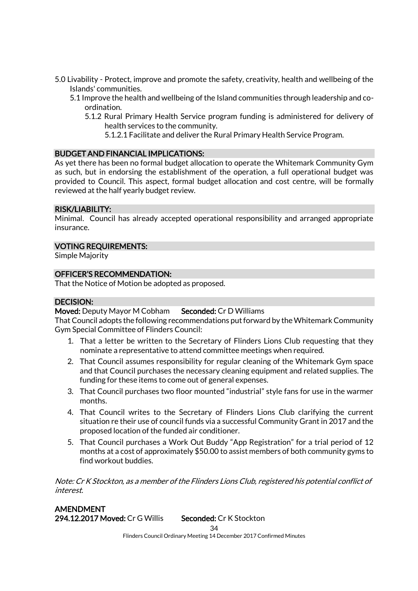- 5.0 Livability Protect, improve and promote the safety, creativity, health and wellbeing of the Islands' communities.
	- 5.1 Improve the health and wellbeing of the Island communities through leadership and coordination.
		- 5.1.2 Rural Primary Health Service program funding is administered for delivery of health services to the community.
			- 5.1.2.1 Facilitate and deliver the Rural Primary Health Service Program.

#### BUDGET AND FINANCIAL IMPLICATIONS:

As yet there has been no formal budget allocation to operate the Whitemark Community Gym as such, but in endorsing the establishment of the operation, a full operational budget was provided to Council. This aspect, formal budget allocation and cost centre, will be formally reviewed at the half yearly budget review.

#### RISK/LIABILITY:

Minimal. Council has already accepted operational responsibility and arranged appropriate insurance.

### VOTING REQUIREMENTS:

Simple Majority

### OFFICER'S RECOMMENDATION:

That the Notice of Motion be adopted as proposed.

#### DECISION:

Moved: Deputy Mayor M Cobham Seconded: Cr D Williams

That Council adopts the following recommendations put forward by the Whitemark Community Gym Special Committee of Flinders Council:

- 1. That a letter be written to the Secretary of Flinders Lions Club requesting that they nominate a representative to attend committee meetings when required.
- 2. That Council assumes responsibility for regular cleaning of the Whitemark Gym space and that Council purchases the necessary cleaning equipment and related supplies. The funding for these items to come out of general expenses.
- 3. That Council purchases two floor mounted "industrial" style fans for use in the warmer months.
- 4. That Council writes to the Secretary of Flinders Lions Club clarifying the current situation re their use of council funds via a successful Community Grant in 2017 and the proposed location of the funded air conditioner.
- 5. That Council purchases a Work Out Buddy "App Registration" for a trial period of 12 months at a cost of approximately \$50.00 to assist members of both community gyms to find workout buddies.

Note: Cr K Stockton, as a member of the Flinders Lions Club, registered his potential conflict of interest.

AMENDMENT 294.12.2017 Moved: Cr G Willis Seconded: Cr K Stockton

 $34$ 

Flinders Council Ordinary Meeting 14 December 2017 Confirmed Minutes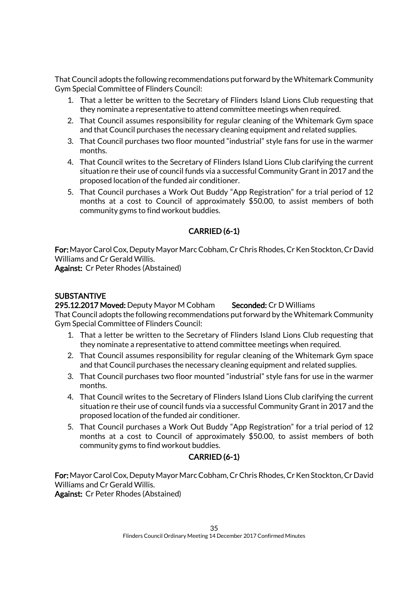That Council adopts the following recommendations put forward by the Whitemark Community Gym Special Committee of Flinders Council:

- 1. That a letter be written to the Secretary of Flinders Island Lions Club requesting that they nominate a representative to attend committee meetings when required.
- 2. That Council assumes responsibility for regular cleaning of the Whitemark Gym space and that Council purchases the necessary cleaning equipment and related supplies.
- 3. That Council purchases two floor mounted "industrial" style fans for use in the warmer months.
- 4. That Council writes to the Secretary of Flinders Island Lions Club clarifying the current situation re their use of council funds via a successful Community Grant in 2017 and the proposed location of the funded air conditioner.
- 5. That Council purchases a Work Out Buddy "App Registration" for a trial period of 12 months at a cost to Council of approximately \$50.00, to assist members of both community gyms to find workout buddies.

# CARRIED (6-1)

For:Mayor Carol Cox, Deputy Mayor Marc Cobham, Cr Chris Rhodes, Cr Ken Stockton, Cr David Williams and Cr Gerald Willis.

Against: Cr Peter Rhodes (Abstained)

# **SUBSTANTIVE**

### 295.12.2017 Moved: Deputy Mayor M Cobham Seconded: Cr D Williams

That Council adopts the following recommendations put forward by the Whitemark Community Gym Special Committee of Flinders Council:

- 1. That a letter be written to the Secretary of Flinders Island Lions Club requesting that they nominate a representative to attend committee meetings when required.
- 2. That Council assumes responsibility for regular cleaning of the Whitemark Gym space and that Council purchases the necessary cleaning equipment and related supplies.
- 3. That Council purchases two floor mounted "industrial" style fans for use in the warmer months.
- 4. That Council writes to the Secretary of Flinders Island Lions Club clarifying the current situation re their use of council funds via a successful Community Grant in 2017 and the proposed location of the funded air conditioner.
- 5. That Council purchases a Work Out Buddy "App Registration" for a trial period of 12 months at a cost to Council of approximately \$50.00, to assist members of both community gyms to find workout buddies.

# CARRIED (6-1)

For:Mayor Carol Cox, Deputy Mayor Marc Cobham, Cr Chris Rhodes, Cr Ken Stockton, Cr David Williams and Cr Gerald Willis.

Against: Cr Peter Rhodes (Abstained)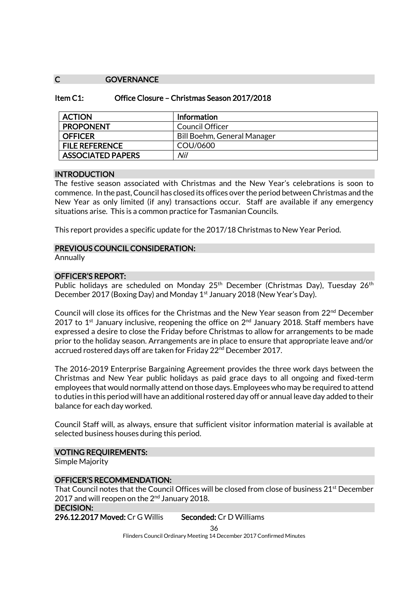#### C **GOVERNANCE**

| Office Closure - Christmas Season 2017/2018<br>Item $C1$ : |  |
|------------------------------------------------------------|--|
|------------------------------------------------------------|--|

| <b>ACTION</b>            | <b>Information</b>          |
|--------------------------|-----------------------------|
| <b>PROPONENT</b>         | Council Officer             |
| <b>OFFICER</b>           | Bill Boehm, General Manager |
| <b>FILE REFERENCE</b>    | COU/0600                    |
| <b>ASSOCIATED PAPERS</b> | Nil                         |

#### **INTRODUCTION**

The festive season associated with Christmas and the New Year's celebrations is soon to commence. In the past, Council has closed its offices over the period between Christmas and the New Year as only limited (if any) transactions occur. Staff are available if any emergency situations arise. This is a common practice for Tasmanian Councils.

This report provides a specific update for the 2017/18 Christmas to New Year Period.

#### PREVIOUS COUNCIL CONSIDERATION:

**Annually** 

#### OFFICER'S REPORT:

Public holidays are scheduled on Monday 25<sup>th</sup> December (Christmas Day), Tuesday 26<sup>th</sup> December 2017 (Boxing Day) and Monday 1<sup>st</sup> January 2018 (New Year's Day).

Council will close its offices for the Christmas and the New Year season from 22nd December 2017 to 1<sup>st</sup> January inclusive, reopening the office on  $2<sup>nd</sup>$  January 2018. Staff members have expressed a desire to close the Friday before Christmas to allow for arrangements to be made prior to the holiday season. Arrangements are in place to ensure that appropriate leave and/or accrued rostered days off are taken for Friday 22<sup>nd</sup> December 2017.

The 2016-2019 Enterprise Bargaining Agreement provides the three work days between the Christmas and New Year public holidays as paid grace days to all ongoing and fixed-term employees that would normally attend on those days. Employees who may be required to attend to duties in this period will have an additional rostered day off or annual leave day added to their balance for each day worked.

Council Staff will, as always, ensure that sufficient visitor information material is available at selected business houses during this period.

#### VOTING REQUIREMENTS:

Simple Majority

### OFFICER'S RECOMMENDATION:

That Council notes that the Council Offices will be closed from close of business 21<sup>st</sup> December 2017 and will reopen on the 2<sup>nd</sup> January 2018.

### DECISION:

296.12.2017 Moved: Cr G Willis Seconded: Cr D Williams

36

Flinders Council Ordinary Meeting 14 December 2017 Confirmed Minutes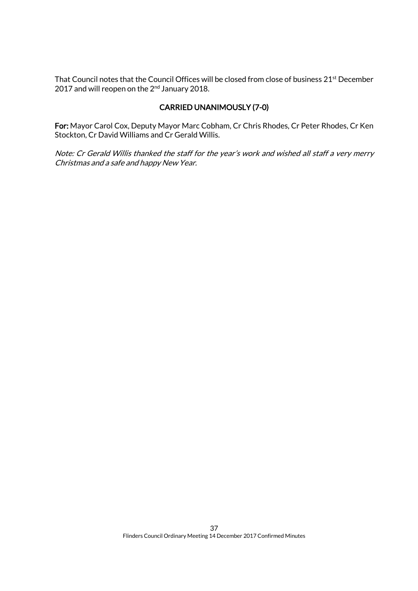That Council notes that the Council Offices will be closed from close of business 21<sup>st</sup> December 2017 and will reopen on the 2<sup>nd</sup> January 2018.

# CARRIED UNANIMOUSLY (7-0)

For: Mayor Carol Cox, Deputy Mayor Marc Cobham, Cr Chris Rhodes, Cr Peter Rhodes, Cr Ken Stockton, Cr David Williams and Cr Gerald Willis.

Note: Cr Gerald Willis thanked the staff for the year's work and wished all staff a very merry Christmas and a safe and happy New Year.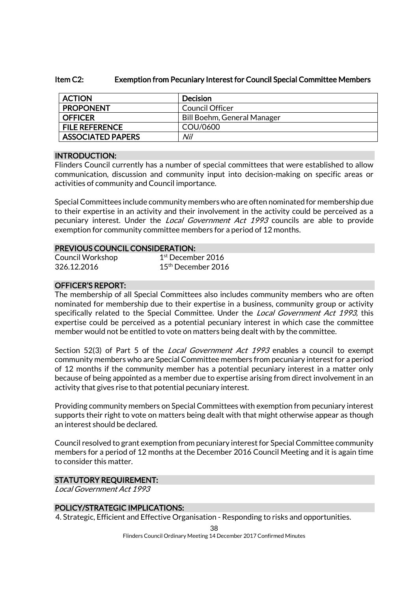#### Item C2: Exemption from Pecuniary Interest for Council Special Committee Members

| <b>ACTION</b>            | Decision                    |
|--------------------------|-----------------------------|
| <b>PROPONENT</b>         | Council Officer             |
| <b>OFFICER</b>           | Bill Boehm, General Manager |
| <b>FILE REFERENCE</b>    | COU/0600                    |
| <b>ASSOCIATED PAPERS</b> | Nil                         |

### INTRODUCTION:

Flinders Council currently has a number of special committees that were established to allow communication, discussion and community input into decision-making on specific areas or activities of community and Council importance.

Special Committees include community members who are often nominated for membership due to their expertise in an activity and their involvement in the activity could be perceived as a pecuniary interest. Under the Local Government Act 1993 councils are able to provide exemption for community committee members for a period of 12 months.

### PREVIOUS COUNCIL CONSIDERATION:

| Council Workshop | $1st$ December 2016            |
|------------------|--------------------------------|
| 326.12.2016      | $15^{\text{th}}$ December 2016 |

### OFFICER'S REPORT:

The membership of all Special Committees also includes community members who are often nominated for membership due to their expertise in a business, community group or activity specifically related to the Special Committee. Under the *Local Government Act 1993*, this expertise could be perceived as a potential pecuniary interest in which case the committee member would not be entitled to vote on matters being dealt with by the committee.

Section 52(3) of Part 5 of the *Local Government Act 1993* enables a council to exempt community members who are Special Committee members from pecuniary interest for a period of 12 months if the community member has a potential pecuniary interest in a matter only because of being appointed as a member due to expertise arising from direct involvement in an activity that gives rise to that potential pecuniary interest.

Providing community members on Special Committees with exemption from pecuniary interest supports their right to vote on matters being dealt with that might otherwise appear as though an interest should be declared.

Council resolved to grant exemption from pecuniary interest for Special Committee community members for a period of 12 months at the December 2016 Council Meeting and it is again time to consider this matter.

#### STATUTORY REQUIREMENT:

Local Government Act 1993

### POLICY/STRATEGIC IMPLICATIONS:

4. Strategic, Efficient and Effective Organisation - Responding to risks and opportunities.

38 Flinders Council Ordinary Meeting 14 December 2017 Confirmed Minutes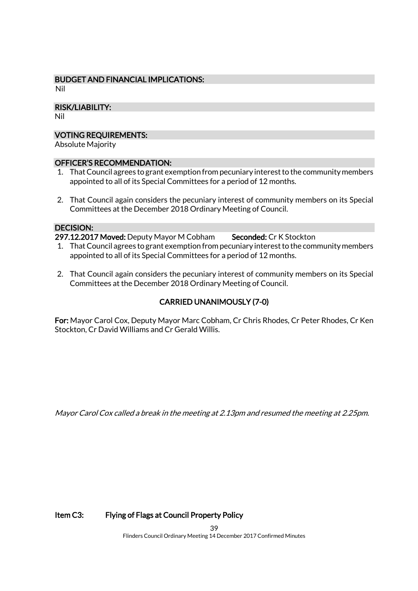# BUDGET AND FINANCIAL IMPLICATIONS:

Nil

### RISK/LIABILITY:

Nil

### VOTING REQUIREMENTS:

Absolute Majority

#### OFFICER'S RECOMMENDATION:

- 1. That Council agrees to grant exemption from pecuniary interest to the community members appointed to all of its Special Committees for a period of 12 months.
- 2. That Council again considers the pecuniary interest of community members on its Special Committees at the December 2018 Ordinary Meeting of Council.

### DECISION:

297.12.2017 Moved: Deputy Mayor M Cobham Seconded: Cr K Stockton

- 1. That Council agrees to grant exemption from pecuniary interest to the community members appointed to all of its Special Committees for a period of 12 months.
- 2. That Council again considers the pecuniary interest of community members on its Special Committees at the December 2018 Ordinary Meeting of Council.

# CARRIED UNANIMOUSLY (7-0)

For: Mayor Carol Cox, Deputy Mayor Marc Cobham, Cr Chris Rhodes, Cr Peter Rhodes, Cr Ken Stockton, Cr David Williams and Cr Gerald Willis.

Mayor Carol Cox called a break in the meeting at 2.13pm and resumed the meeting at 2.25pm.

### Item C3: Flying of Flags at Council Property Policy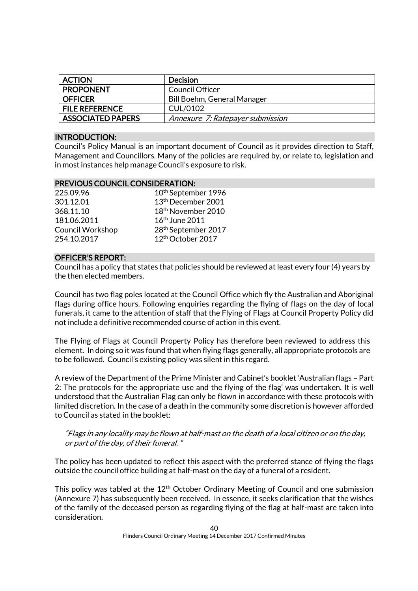| <b>ACTION</b>            | <b>Decision</b>                  |
|--------------------------|----------------------------------|
| <b>PROPONENT</b>         | Council Officer                  |
| <b>OFFICER</b>           | Bill Boehm, General Manager      |
| <b>FILE REFERENCE</b>    | CUL/0102                         |
| <b>ASSOCIATED PAPERS</b> | Annexure 7: Ratepayer submission |

#### INTRODUCTION:

Council's Policy Manual is an important document of Council as it provides direction to Staff, Management and Councillors. Many of the policies are required by, or relate to, legislation and in most instances help manage Council's exposure to risk.

### PREVIOUS COUNCIL CONSIDERATION:

| 225.09.96               | 10          |
|-------------------------|-------------|
| 301.12.01               | 1:          |
| 368.11.10               | 11          |
| 181.06.2011             | 1           |
| <b>Council Workshop</b> | $2^{\circ}$ |
| 254.10.2017             | 1:          |

0<sup>th</sup> September 1996 3<sup>th</sup> December 2001 8<sup>th</sup> November 2010  $6^{\rm th}$  June 2011 8<sup>th</sup> September 2017 2<sup>th</sup> October 2017

#### OFFICER'S REPORT:

Council has a policy that states that policies should be reviewed at least every four (4) years by the then elected members.

Council has two flag poles located at the Council Office which fly the Australian and Aboriginal flags during office hours. Following enquiries regarding the flying of flags on the day of local funerals, it came to the attention of staff that the Flying of Flags at Council Property Policy did not include a definitive recommended course of action in this event.

The Flying of Flags at Council Property Policy has therefore been reviewed to address this element. In doing so it was found that when flying flags generally, all appropriate protocols are to be followed. Council's existing policy was silent in this regard.

A review of the Department of the Prime Minister and Cabinet's booklet 'Australian flags – Part 2: The protocols for the appropriate use and the flying of the flag' was undertaken. It is well understood that the Australian Flag can only be flown in accordance with these protocols with limited discretion. In the case of a death in the community some discretion is however afforded to Council as stated in the booklet:

#### "Flags in any locality may be flown at half-mast on the death of a local citizen or on the day, or part of the day, of their funeral. "

The policy has been updated to reflect this aspect with the preferred stance of flying the flags outside the council office building at half-mast on the day of a funeral of a resident.

This policy was tabled at the  $12<sup>th</sup>$  October Ordinary Meeting of Council and one submission (Annexure 7) has subsequently been received. In essence, it seeks clarification that the wishes of the family of the deceased person as regarding flying of the flag at half-mast are taken into consideration.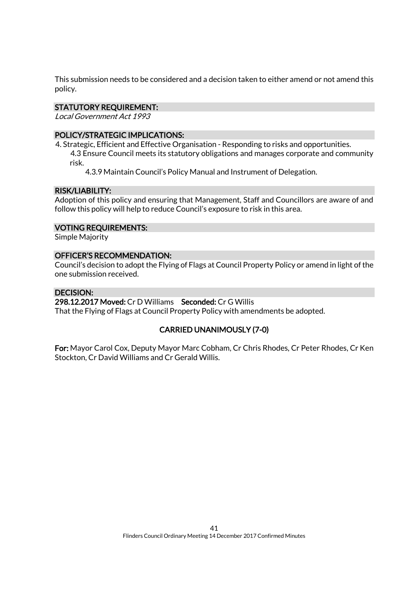This submission needs to be considered and a decision taken to either amend or not amend this policy.

### STATUTORY REQUIREMENT:

Local Government Act 1993

### POLICY/STRATEGIC IMPLICATIONS:

4. Strategic, Efficient and Effective Organisation - Responding to risks and opportunities. 4.3 Ensure Council meets its statutory obligations and manages corporate and community risk.

4.3.9 Maintain Council's Policy Manual and Instrument of Delegation.

### RISK/LIABILITY:

Adoption of this policy and ensuring that Management, Staff and Councillors are aware of and follow this policy will help to reduce Council's exposure to risk in this area.

#### VOTING REQUIREMENTS:

Simple Majority

#### OFFICER'S RECOMMENDATION:

Council's decision to adopt the Flying of Flags at Council Property Policy or amend in light of the one submission received.

### DECISION:

#### 298.12.2017 Moved: Cr D Williams Seconded: Cr G Willis

That the Flying of Flags at Council Property Policy with amendments be adopted.

### CARRIED UNANIMOUSLY (7-0)

For: Mayor Carol Cox, Deputy Mayor Marc Cobham, Cr Chris Rhodes, Cr Peter Rhodes, Cr Ken Stockton, Cr David Williams and Cr Gerald Willis.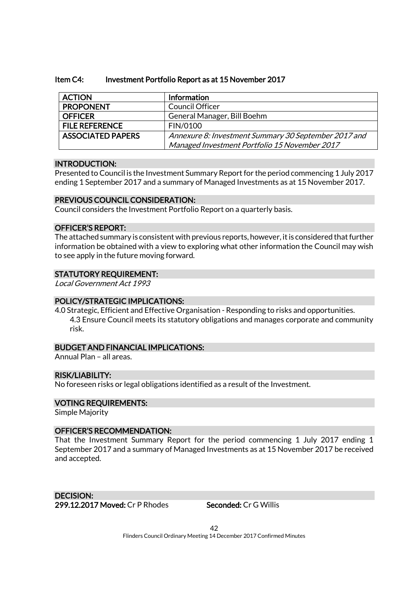#### Item C4: Investment Portfolio Report as at 15 November 2017

| <b>ACTION</b>            | Information                                          |
|--------------------------|------------------------------------------------------|
| <b>PROPONENT</b>         | <b>Council Officer</b>                               |
| <b>OFFICER</b>           | General Manager, Bill Boehm                          |
| <b>FILE REFERENCE</b>    | FIN/0100                                             |
| <b>ASSOCIATED PAPERS</b> | Annexure 8: Investment Summary 30 September 2017 and |
|                          | Managed Investment Portfolio 15 November 2017        |

#### INTRODUCTION:

Presented to Council is the Investment Summary Report for the period commencing 1 July 2017 ending 1 September 2017 and a summary of Managed Investments as at 15 November 2017.

#### PREVIOUS COUNCIL CONSIDERATION:

Council considers the Investment Portfolio Report on a quarterly basis.

### OFFICER'S REPORT:

The attached summary is consistent with previous reports, however, it is considered that further information be obtained with a view to exploring what other information the Council may wish to see apply in the future moving forward.

#### STATUTORY REQUIREMENT:

Local Government Act 1993

#### POLICY/STRATEGIC IMPLICATIONS:

4.0 Strategic, Efficient and Effective Organisation - Responding to risks and opportunities. 4.3 Ensure Council meets its statutory obligations and manages corporate and community risk.

#### BUDGET AND FINANCIAL IMPLICATIONS:

Annual Plan – all areas.

#### RISK/LIABILITY:

No foreseen risks or legal obligations identified as a result of the Investment.

#### VOTING REQUIREMENTS:

Simple Majority

#### OFFICER'S RECOMMENDATION:

That the Investment Summary Report for the period commencing 1 July 2017 ending 1 September 2017 and a summary of Managed Investments as at 15 November 2017 be received and accepted.

DECISION: 299.12.2017 Moved: Cr P Rhodes Seconded: Cr G Willis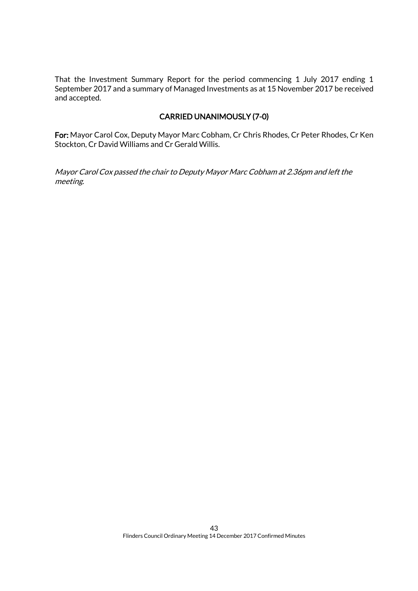That the Investment Summary Report for the period commencing 1 July 2017 ending 1 September 2017 and a summary of Managed Investments as at 15 November 2017 be received and accepted.

### CARRIED UNANIMOUSLY (7-0)

For: Mayor Carol Cox, Deputy Mayor Marc Cobham, Cr Chris Rhodes, Cr Peter Rhodes, Cr Ken Stockton, Cr David Williams and Cr Gerald Willis.

Mayor Carol Cox passed the chair to Deputy Mayor Marc Cobham at 2.36pm and left the meeting.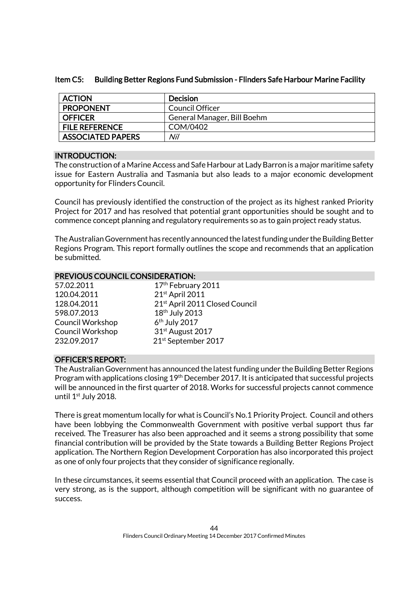|  | Item C5: Building Better Regions Fund Submission - Flinders Safe Harbour Marine Facility |
|--|------------------------------------------------------------------------------------------|
|--|------------------------------------------------------------------------------------------|

| <b>ACTION</b>            | <b>Decision</b>             |
|--------------------------|-----------------------------|
| <b>PROPONENT</b>         | Council Officer             |
| <b>OFFICER</b>           | General Manager, Bill Boehm |
| <b>FILE REFERENCE</b>    | COM/0402                    |
| <b>ASSOCIATED PAPERS</b> | Nil                         |

### INTRODUCTION:

The construction of a Marine Access and Safe Harbour at Lady Barron is a major maritime safety issue for Eastern Australia and Tasmania but also leads to a major economic development opportunity for Flinders Council.

Council has previously identified the construction of the project as its highest ranked Priority Project for 2017 and has resolved that potential grant opportunities should be sought and to commence concept planning and regulatory requirements so as to gain project ready status.

The Australian Government has recently announced the latest funding under the Building Better Regions Program. This report formally outlines the scope and recommends that an application be submitted.

#### PREVIOUS COUNCIL CONSIDERATION:

| 57.02.2011              | 17th February 2011                         |
|-------------------------|--------------------------------------------|
| 120.04.2011             | 21st April 2011                            |
| 128.04.2011             | 21 <sup>st</sup> April 2011 Closed Council |
| 598.07.2013             | 18 <sup>th</sup> July 2013                 |
| <b>Council Workshop</b> | 6 <sup>th</sup> July 2017                  |
| <b>Council Workshop</b> | 31st August 2017                           |
| 232.09.2017             | 21st September 2017                        |

### OFFICER'S REPORT:

The Australian Government has announced the latest funding under the Building Better Regions Program with applications closing 19th December 2017. It is anticipated that successful projects will be announced in the first quarter of 2018. Works for successful projects cannot commence until 1<sup>st</sup> July 2018.

There is great momentum locally for what is Council's No.1 Priority Project. Council and others have been lobbying the Commonwealth Government with positive verbal support thus far received. The Treasurer has also been approached and it seems a strong possibility that some financial contribution will be provided by the State towards a Building Better Regions Project application. The Northern Region Development Corporation has also incorporated this project as one of only four projects that they consider of significance regionally.

In these circumstances, it seems essential that Council proceed with an application. The case is very strong, as is the support, although competition will be significant with no guarantee of success.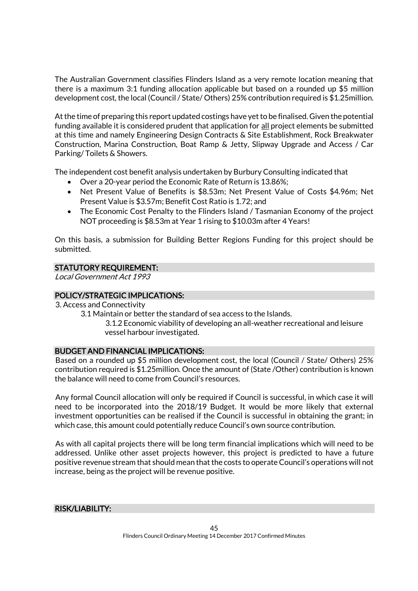The Australian Government classifies Flinders Island as a very remote location meaning that there is a maximum 3:1 funding allocation applicable but based on a rounded up \$5 million development cost, the local (Council / State/ Others) 25% contribution required is \$1.25million.

At the time of preparing this report updated costings have yet to be finalised. Given the potential funding available it is considered prudent that application for all project elements be submitted at this time and namely Engineering Design Contracts & Site Establishment, Rock Breakwater Construction, Marina Construction, Boat Ramp & Jetty, Slipway Upgrade and Access / Car Parking/ Toilets & Showers.

The independent cost benefit analysis undertaken by Burbury Consulting indicated that

- Over a 20-year period the Economic Rate of Return is 13.86%;
- Net Present Value of Benefits is \$8.53m; Net Present Value of Costs \$4.96m; Net Present Value is \$3.57m; Benefit Cost Ratio is 1.72; and
- The Economic Cost Penalty to the Flinders Island / Tasmanian Economy of the project NOT proceeding is \$8.53m at Year 1 rising to \$10.03m after 4 Years!

On this basis, a submission for Building Better Regions Funding for this project should be submitted.

### STATUTORY REQUIREMENT:

Local Government Act 1993

### POLICY/STRATEGIC IMPLICATIONS:

- 3. Access and Connectivity
	- 3.1 Maintain or better the standard of sea access to the Islands.

3.1.2 Economic viability of developing an all-weather recreational and leisure vessel harbour investigated.

#### BUDGET AND FINANCIAL IMPLICATIONS:

Based on a rounded up \$5 million development cost, the local (Council / State/ Others) 25% contribution required is \$1.25million. Once the amount of (State /Other) contribution is known the balance will need to come from Council's resources.

Any formal Council allocation will only be required if Council is successful, in which case it will need to be incorporated into the 2018/19 Budget. It would be more likely that external investment opportunities can be realised if the Council is successful in obtaining the grant; in which case, this amount could potentially reduce Council's own source contribution.

As with all capital projects there will be long term financial implications which will need to be addressed. Unlike other asset projects however, this project is predicted to have a future positive revenue stream that should mean that the costs to operate Council's operations will not increase, being as the project will be revenue positive.

### RISK/LIABILITY: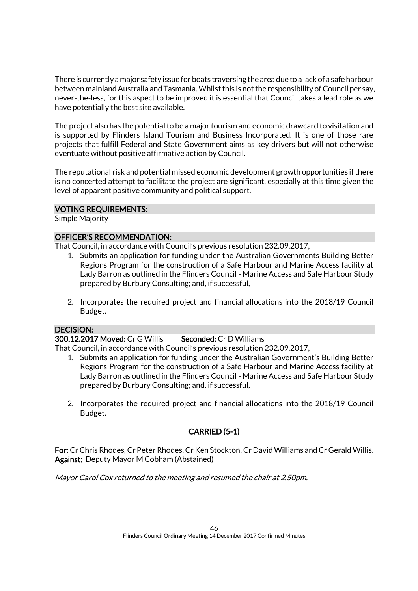There is currently a major safety issue for boats traversing the area due to a lack of a safe harbour between mainland Australia and Tasmania. Whilst this is not the responsibility of Council per say, never-the-less, for this aspect to be improved it is essential that Council takes a lead role as we have potentially the best site available.

The project also has the potential to be a major tourism and economic drawcard to visitation and is supported by Flinders Island Tourism and Business Incorporated. It is one of those rare projects that fulfill Federal and State Government aims as key drivers but will not otherwise eventuate without positive affirmative action by Council.

The reputational risk and potential missed economic development growth opportunities if there is no concerted attempt to facilitate the project are significant, especially at this time given the level of apparent positive community and political support.

#### VOTING REQUIREMENTS:

Simple Majority

### OFFICER'S RECOMMENDATION:

That Council, in accordance with Council's previous resolution 232.09.2017,

- 1. Submits an application for funding under the Australian Governments Building Better Regions Program for the construction of a Safe Harbour and Marine Access facility at Lady Barron as outlined in the Flinders Council - Marine Access and Safe Harbour Study prepared by Burbury Consulting; and, if successful,
- 2. Incorporates the required project and financial allocations into the 2018/19 Council Budget.

#### DECISION:

#### 300.12.2017 Moved: Cr G Willis Seconded: Cr D Williams

That Council, in accordance with Council's previous resolution 232.09.2017,

- 1. Submits an application for funding under the Australian Government's Building Better Regions Program for the construction of a Safe Harbour and Marine Access facility at Lady Barron as outlined in the Flinders Council - Marine Access and Safe Harbour Study prepared by Burbury Consulting; and, if successful,
- 2. Incorporates the required project and financial allocations into the 2018/19 Council Budget.

# CARRIED (5-1)

For:Cr Chris Rhodes, Cr Peter Rhodes, Cr Ken Stockton, Cr David Williams and Cr Gerald Willis. Against: Deputy Mayor M Cobham (Abstained)

Mayor Carol Cox returned to the meeting and resumed the chair at 2.50pm.